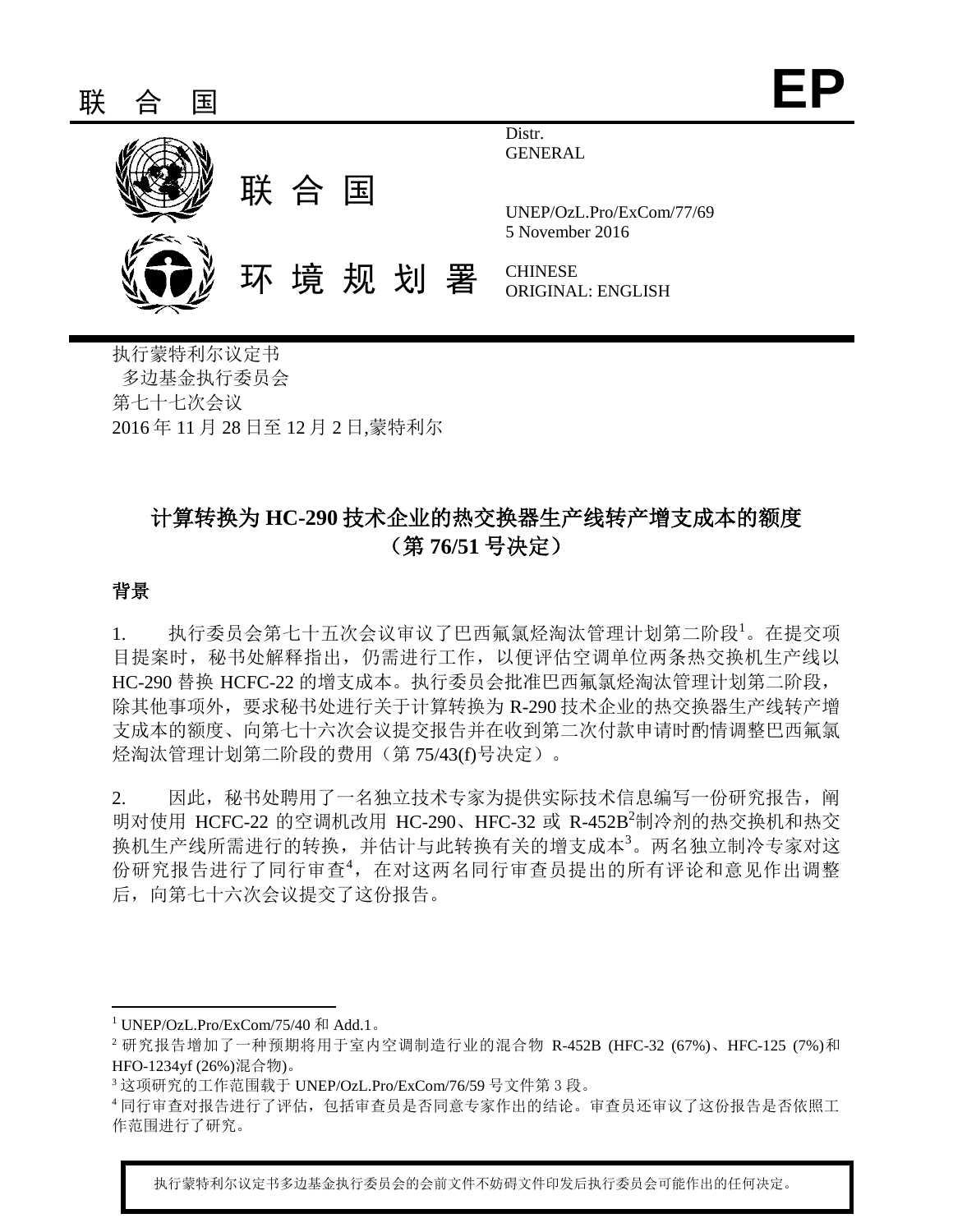

执行蒙特利尔议定书 多边基金执行委员会 第七十七次会议 2016 年 11 月 28 日至 12 月 2 日,蒙特利尔

# 计算转换为 **HC-290** 技术企业的热交换器生产线转产增支成本的额度 (第 **76/51** 号决定)

## 背景

l

1. 执行委员会第七十五次会议审议了巴西氟氯烃淘汰管理计划第二阶段1。在提交项 目提案时,秘书处解释指出,仍需进行工作,以便评估空调单位两条热交换机生产线以 HC-290 替换 HCFC-22 的增支成本。执行委员会批准巴西氟氯烃淘汰管理计划第二阶段, 除其他事项外,要求秘书处进行关于计算转换为 R-290 技术企业的热交换器生产线转产增 支成本的额度、向第七十六次会议提交报告并在收到第二次付款申请时酌情调整巴西氟氯 烃淘汰管理计划第二阶段的费用(第 75/43(f)号决定)。

2. 因此,秘书处聘用了一名独立技术专家为提供实际技术信息编写一份研究报告,阐 明对使用 HCFC-22 的空调机改用 HC-290、HFC-32 或 R-452B<sup>2</sup>制冷剂的热交换机和热交 换机生产线所需进行的转换,并估计与此转换有关的增支成本<sup>3</sup>。两名独立制冷专家对这 份研究报告进行了同行审查<sup>4</sup>,在对这两名同行审查员提出的所有评论和意见作出调整 后,向第七十六次会议提交了这份报告。

执行蒙特利尔议定书多边基金执行委员会的会前文件不妨碍文件印发后执行委员会可能作出的任何决定。

 $1$  UNEP/OzL.Pro/ExCom/75/40 和 Add.1。

 $2$  研究报告增加了一种预期将用于室内空调制造行业的混合物 R-452B (HFC-32 (67%)、HFC-125 (7%)和 HFO-1234yf (26%)混合物)。

<sup>3</sup> 这项研究的工作范围载于 UNEP/OzL.Pro/ExCom/76/59 号文件第 3 段。

<sup>4</sup> 同行审查对报告进行了评估,包括审查员是否同意专家作出的结论。审查员还审议了这份报告是否依照工 作范围进行了研究。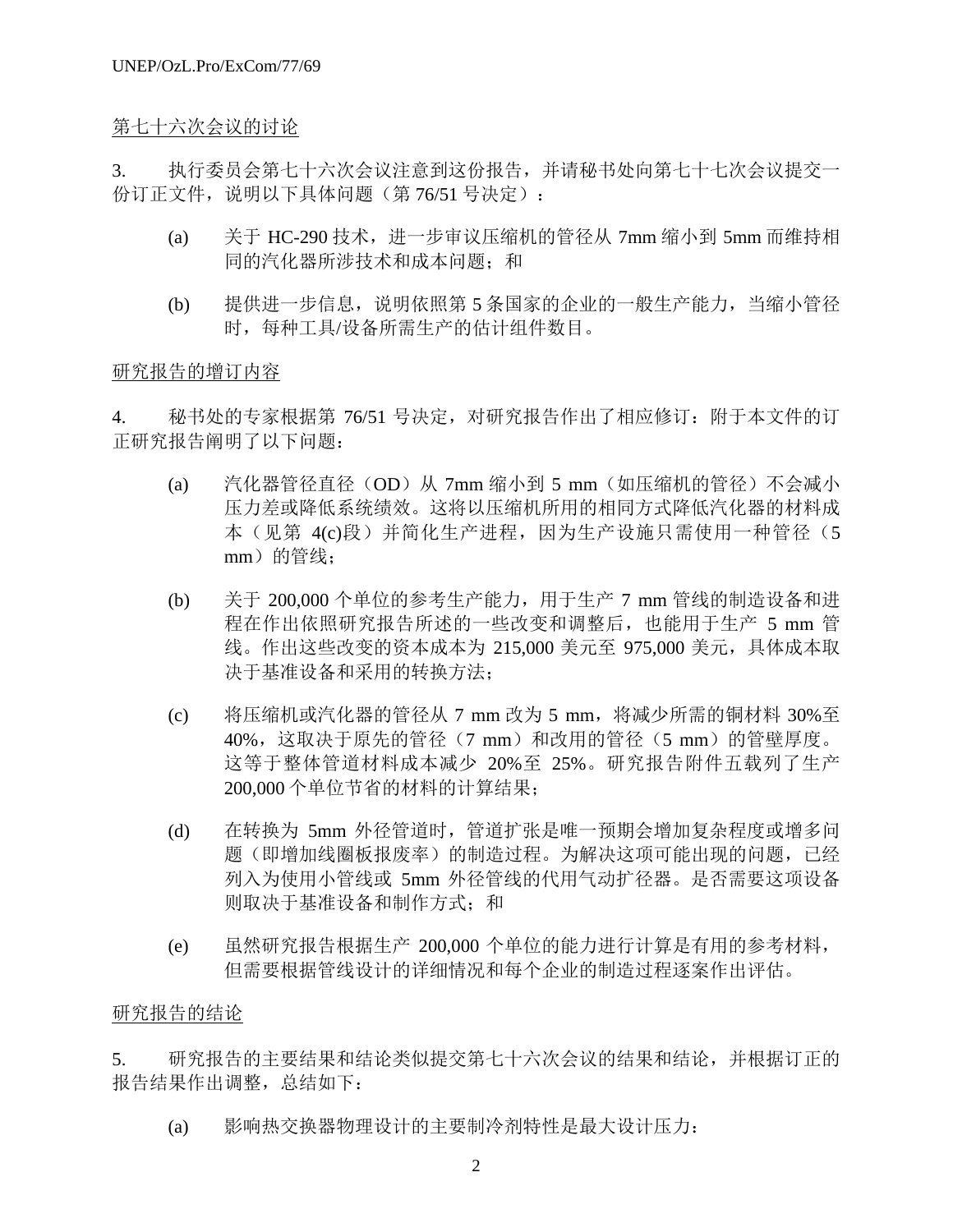## 第七十六次会议的讨论

3. 执行委员会第七十六次会议注意到这份报告,并请秘书处向第七十七次会议提交一 份订正文件,说明以下具体问题(第 76/51 号决定):

- (a) 关于 HC-290 技术,进一步审议压缩机的管径从 7mm 缩小到 5mm 而维持相 同的汽化器所涉技术和成本问题;和
- (b) 提供进一步信息,说明依照第 5 条国家的企业的一般生产能力,当缩小管径 时,每种工具/设备所需生产的估计组件数目。

## 研究报告的增订内容

4. 秘书处的专家根据第 76/51 号决定,对研究报告作出了相应修订:附于本文件的订 正研究报告阐明了以下问题:

- (a) 汽化器管径直径(OD)从 7mm 缩小到 5 mm (如压缩机的管径)不会减小 压力差或降低系统绩效。这将以压缩机所用的相同方式降低汽化器的材料成 本(见第 4(c)段)并简化生产进程,因为生产设施只需使用一种管径(5 mm)的管线;
- (b) 关于 200,000 个单位的参考生产能力,用于生产 7 mm 管线的制造设备和进 程在作出依照研究报告所述的一些改变和调整后,也能用于生产 5 mm 管 线。作出这些改变的资本成本为 215,000 美元至 975,000 美元,具体成本取 决于基准设备和采用的转换方法;
- (c) 将压缩机或汽化器的管径从 7 mm 改为 5 mm,将减少所需的铜材料 30%至 40%,这取决于原先的管径(7 mm)和改用的管径(5 mm)的管壁厚度。 这等于整体管道材料成本减少 20%至 25%。研究报告附件五载列了生产 200,000 个单位节省的材料的计算结果;
- (d) 在转换为 5mm 外径管道时,管道扩张是唯一预期会增加复杂程度或增多问 题(即增加线圈板报废率)的制造过程。为解决这项可能出现的问题,已经 列入为使用小管线或 5mm 外径管线的代用气动扩径器。是否需要这项设备 则取决于基准设备和制作方式;和
- (e) 虽然研究报告根据生产 200,000 个单位的能力进行计算是有用的参考材料, 但需要根据管线设计的详细情况和每个企业的制造过程逐案作出评估。

## 研究报告的结论

5. 研究报告的主要结果和结论类似提交第七十六次会议的结果和结论,并根据订正的 报告结果作出调整,总结如下:

(a) 影响热交换器物理设计的主要制冷剂特性是最大设计压力: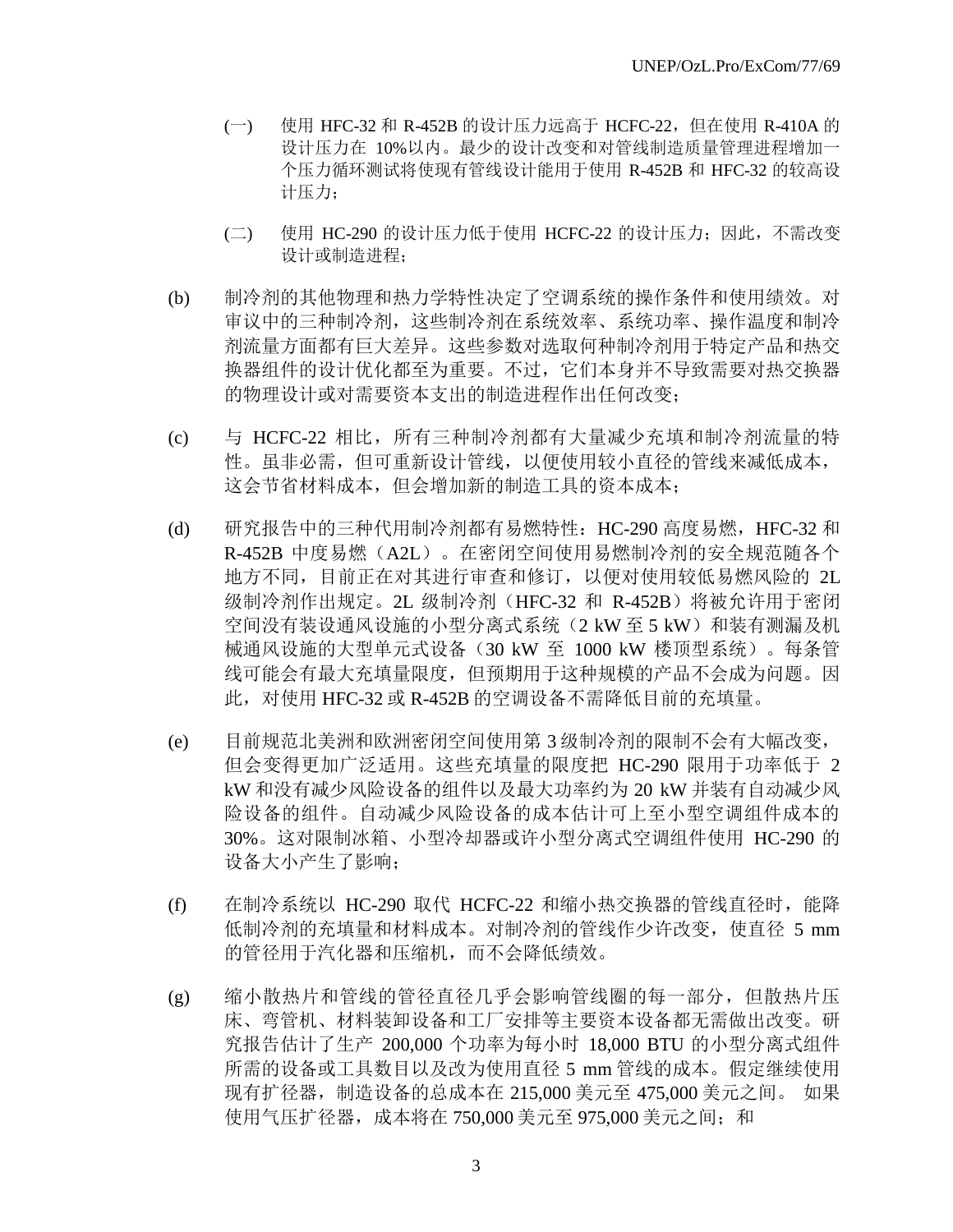- (一) 使用 HFC-32 和 R-452B 的设计压力远高于 HCFC-22, 但在使用 R-410A 的 设计压力在 10%以内。最少的设计改变和对管线制造质量管理进程增加一 个压力循环测试将使现有管线设计能用于使用 R-452B 和 HFC-32 的较高设 计压力;
- (二) 使用 HC-290 的设计压力低于使用 HCFC-22 的设计压力;因此,不需改变 设计或制造进程;
- (b) 制冷剂的其他物理和热力学特性决定了空调系统的操作条件和使用绩效。对 审议中的三种制冷剂,这些制冷剂在系统效率、系统功率、操作温度和制冷 剂流量方面都有巨大差异。这些参数对选取何种制冷剂用于特定产品和热交 换器组件的设计优化都至为重要。不过,它们本身并不导致需要对热交换器 的物理设计或对需要资本支出的制造进程作出任何改变;
- (c) 与 HCFC-22 相比,所有三种制冷剂都有大量减少充填和制冷剂流量的特 性。虽非必需,但可重新设计管线,以便使用较小直径的管线来减低成本, 这会节省材料成本,但会增加新的制造工具的资本成本;
- (d) 研究报告中的三种代用制冷剂都有易燃特性:HC-290 高度易燃,HFC-32 和 R-452B 中度易燃(A2L)。在密闭空间使用易燃制冷剂的安全规范随各个 地方不同,目前正在对其进行审查和修订,以便对使用较低易燃风险的 2L 级制冷剂作出规定。2L 级制冷剂(HFC-32 和 R-452B)将被允许用于密闭 空间没有装设通风设施的小型分离式系统(2 kW 至 5 kW)和装有测漏及机 械通风设施的大型单元式设备(30 kW 至 1000 kW 楼顶型系统)。每条管 线可能会有最大充填量限度,但预期用于这种规模的产品不会成为问题。因 此,对使用 HFC-32 或 R-452B 的空调设备不需降低目前的充填量。
- (e) 目前规范北美洲和欧洲密闭空间使用第 3 级制冷剂的限制不会有大幅改变, 但会变得更加广泛适用。这些充填量的限度把 HC-290 限用于功率低于 2 kW 和没有减少风险设备的组件以及最大功率约为 20 kW 并装有自动减少风 险设备的组件。自动减少风险设备的成本估计可上至小型空调组件成本的 30%。这对限制冰箱、小型冷却器或许小型分离式空调组件使用 HC-290 的 设备大小产生了影响;
- (f) 在制冷系统以 HC-290 取代 HCFC-22 和缩小热交换器的管线直径时,能降 低制冷剂的充填量和材料成本。对制冷剂的管线作少许改变,使直径 5 mm 的管径用于汽化器和压缩机,而不会降低绩效。
- (g) 缩小散热片和管线的管径直径几乎会影响管线圈的每一部分,但散热片压 床、弯管机、材料装卸设备和工厂安排等主要资本设备都无需做出改变。研 究报告估计了生产 200,000 个功率为每小时 18,000 BTU 的小型分离式组件 所需的设备或工具数目以及改为使用直径 5 mm 管线的成本。假定继续使用 现有扩径器,制造设备的总成本在 215,000 美元至 475,000 美元之间。 如果 使用气压扩径器,成本将在 750,000 美元至 975,000 美元之间;和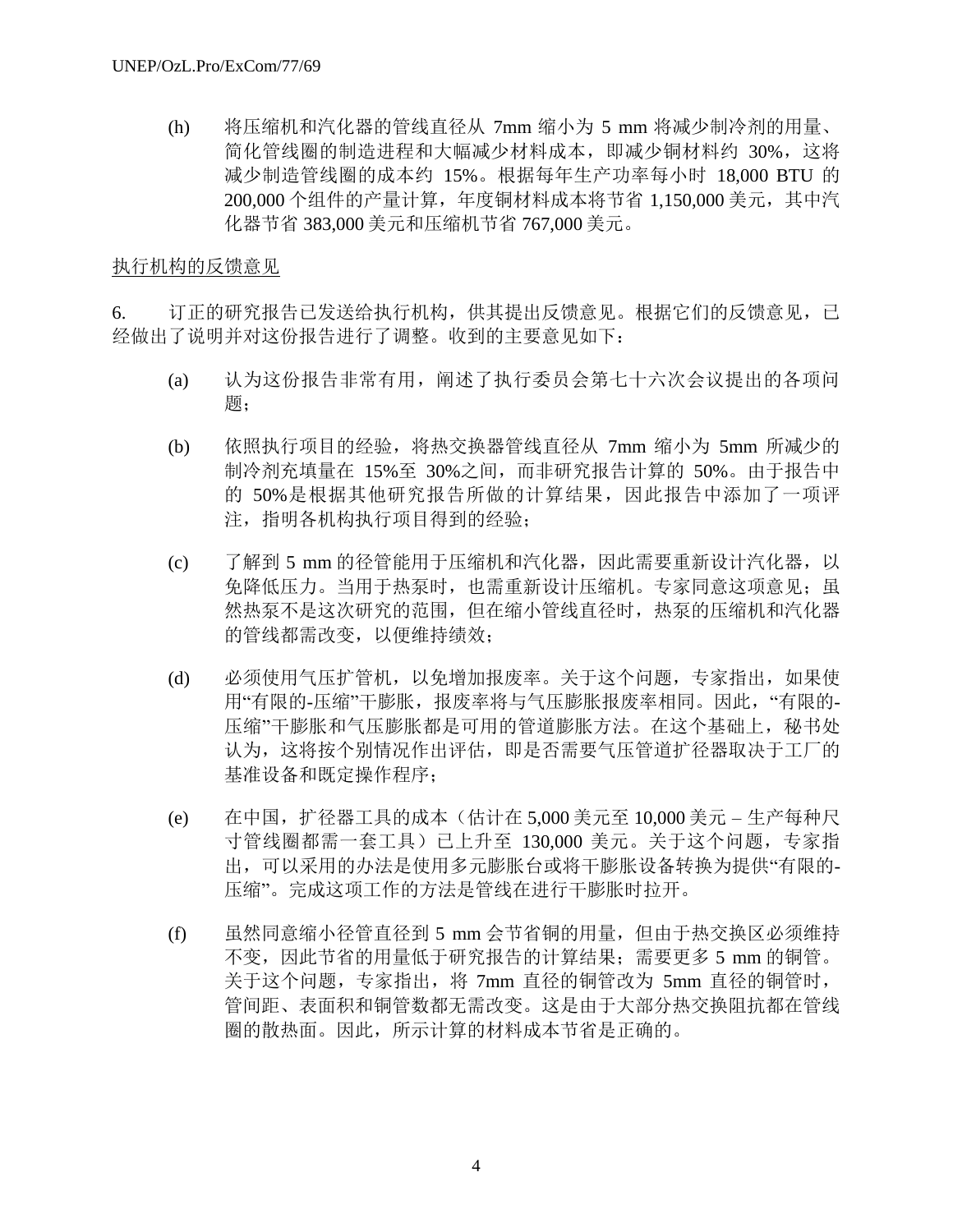(h) 将压缩机和汽化器的管线直径从 7mm 缩小为 5 mm 将减少制冷剂的用量、 简化管线圈的制造进程和大幅减少材料成本,即减少铜材料约 30%,这将 减少制造管线圈的成本约 15%。根据每年生产功率每小时 18,000 BTU 的 200,000 个组件的产量计算,年度铜材料成本将节省 1,150,000 美元, 其中汽 化器节省 383,000 美元和压缩机节省 767,000 美元。

## 执行机构的反馈意见

6. 订正的研究报告已发送给执行机构,供其提出反馈意见。根据它们的反馈意见,已 经做出了说明并对这份报告进行了调整。收到的主要意见如下:

- (a) 认为这份报告非常有用,阐述了执行委员会第七十六次会议提出的各项问 题;
- (b) 依照执行项目的经验,将热交换器管线直径从 7mm 缩小为 5mm 所减少的 制冷剂充填量在 15%至 30%之间,而非研究报告计算的 50%。由于报告中 的 50%是根据其他研究报告所做的计算结果,因此报告中添加了一项评 注,指明各机构执行项目得到的经验;
- (c) 了解到 5 mm 的径管能用于压缩机和汽化器,因此需要重新设计汽化器,以 免降低压力。当用于热泵时,也需重新设计压缩机。专家同意这项意见;虽 然热泵不是这次研究的范围,但在缩小管线直径时,热泵的压缩机和汽化器 的管线都需改变,以便维持绩效;
- (d) 必须使用气压扩管机,以免增加报废率。关于这个问题,专家指出,如果使 用"有限的-压缩"干膨胀,报废率将与气压膨胀报废率相同。因此,"有限的-压缩"干膨胀和气压膨胀都是可用的管道膨胀方法。在这个基础上, 秘书处 认为,这将按个别情况作出评估,即是否需要气压管道扩径器取决于工厂的 基准设备和既定操作程序;
- (e) 在中国,扩径器工具的成本(估计在 5,000 美元至 10,000 美元 生产每种尺 寸管线圈都需一套工具)已上升至 130,000 美元。关于这个问题,专家指 出,可以采用的办法是使用多元膨胀台或将干膨胀设备转换为提供"有限的-压缩"。完成这项工作的方法是管线在进行干膨胀时拉开。
- (f) 虽然同意缩小径管直径到 5 mm 会节省铜的用量,但由于热交换区必须维持 不变,因此节省的用量低于研究报告的计算结果;需要更多 5 mm 的铜管。 关于这个问题,专家指出,将 7mm 直径的铜管改为 5mm 直径的铜管时, 管间距、表面积和铜管数都无需改变。这是由于大部分热交换阻抗都在管线 圈的散热面。因此,所示计算的材料成本节省是正确的。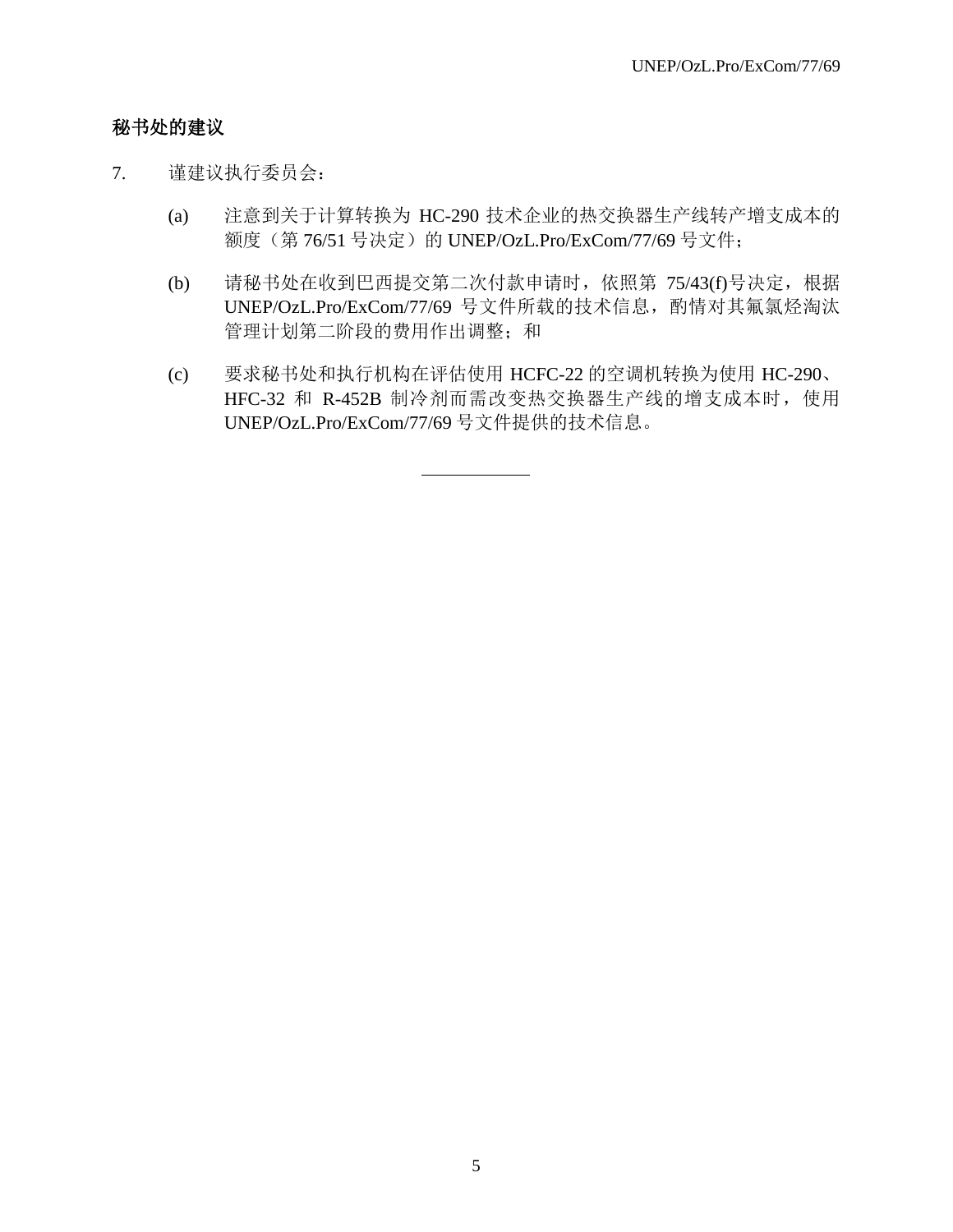## 秘书处的建议

- 7. 谨建议执行委员会:
	- (a) 注意到关于计算转换为 HC-290 技术企业的热交换器生产线转产增支成本的 额度(第 76/51 号决定)的 UNEP/OzL.Pro/ExCom/77/69 号文件;
	- (b) 请秘书处在收到巴西提交第二次付款申请时,依照第 75/43(f)号决定,根据 UNEP/OzL.Pro/ExCom/77/69 号文件所载的技术信息, 酌情对其氟氯烃淘汰 管理计划第二阶段的费用作出调整;和
	- (c) 要求秘书处和执行机构在评估使用 HCFC-22 的空调机转换为使用 HC-290、 HFC-32 和 R-452B 制冷剂而需改变热交换器生产线的增支成本时, 使用 UNEP/OzL.Pro/ExCom/77/69 号文件提供的技术信息。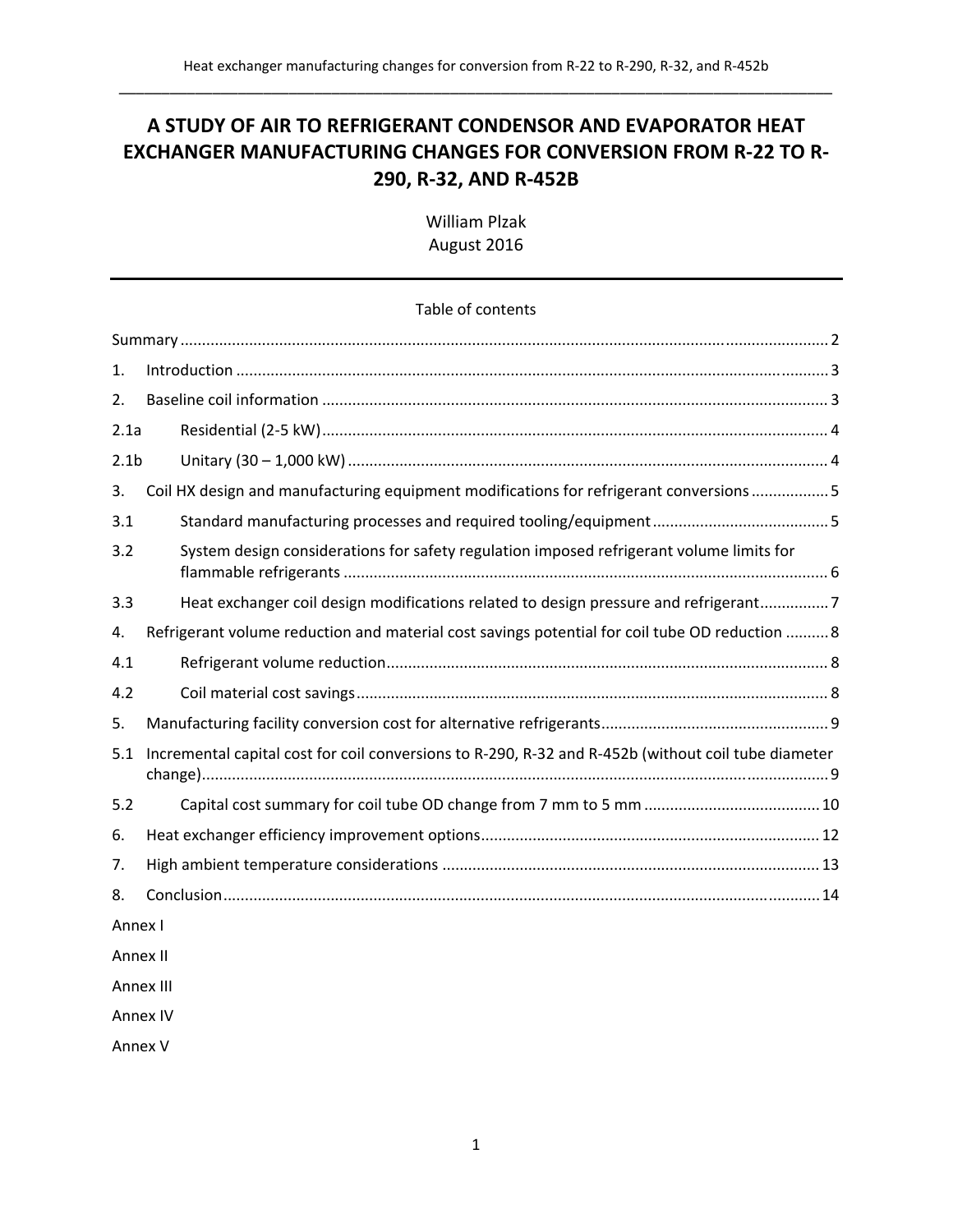# **A STUDY OF AIR TO REFRIGERANT CONDENSOR AND EVAPORATOR HEAT EXCHANGER MANUFACTURING CHANGES FOR CONVERSION FROM R‐22 TO R‐ 290, R‐32, AND R‐452B**

William Plzak August 2016

#### Table of contents

| $\mathbf{1}$ .   |                                                                                                     |  |  |
|------------------|-----------------------------------------------------------------------------------------------------|--|--|
| 2.               |                                                                                                     |  |  |
| 2.1a             |                                                                                                     |  |  |
| 2.1 <sub>b</sub> |                                                                                                     |  |  |
| 3.               | Coil HX design and manufacturing equipment modifications for refrigerant conversions  5             |  |  |
| 3.1              |                                                                                                     |  |  |
| 3.2              | System design considerations for safety regulation imposed refrigerant volume limits for            |  |  |
| 3.3              | Heat exchanger coil design modifications related to design pressure and refrigerant7                |  |  |
| 4.               | Refrigerant volume reduction and material cost savings potential for coil tube OD reduction  8      |  |  |
| 4.1              |                                                                                                     |  |  |
| 4.2              |                                                                                                     |  |  |
| 5.               |                                                                                                     |  |  |
| 5.1              | Incremental capital cost for coil conversions to R-290, R-32 and R-452b (without coil tube diameter |  |  |
| 5.2              |                                                                                                     |  |  |
| 6.               |                                                                                                     |  |  |
| 7.               |                                                                                                     |  |  |
| 8.               |                                                                                                     |  |  |
| Annex I          |                                                                                                     |  |  |
| Annex II         |                                                                                                     |  |  |
| Annex III        |                                                                                                     |  |  |

Annex IV

Annex V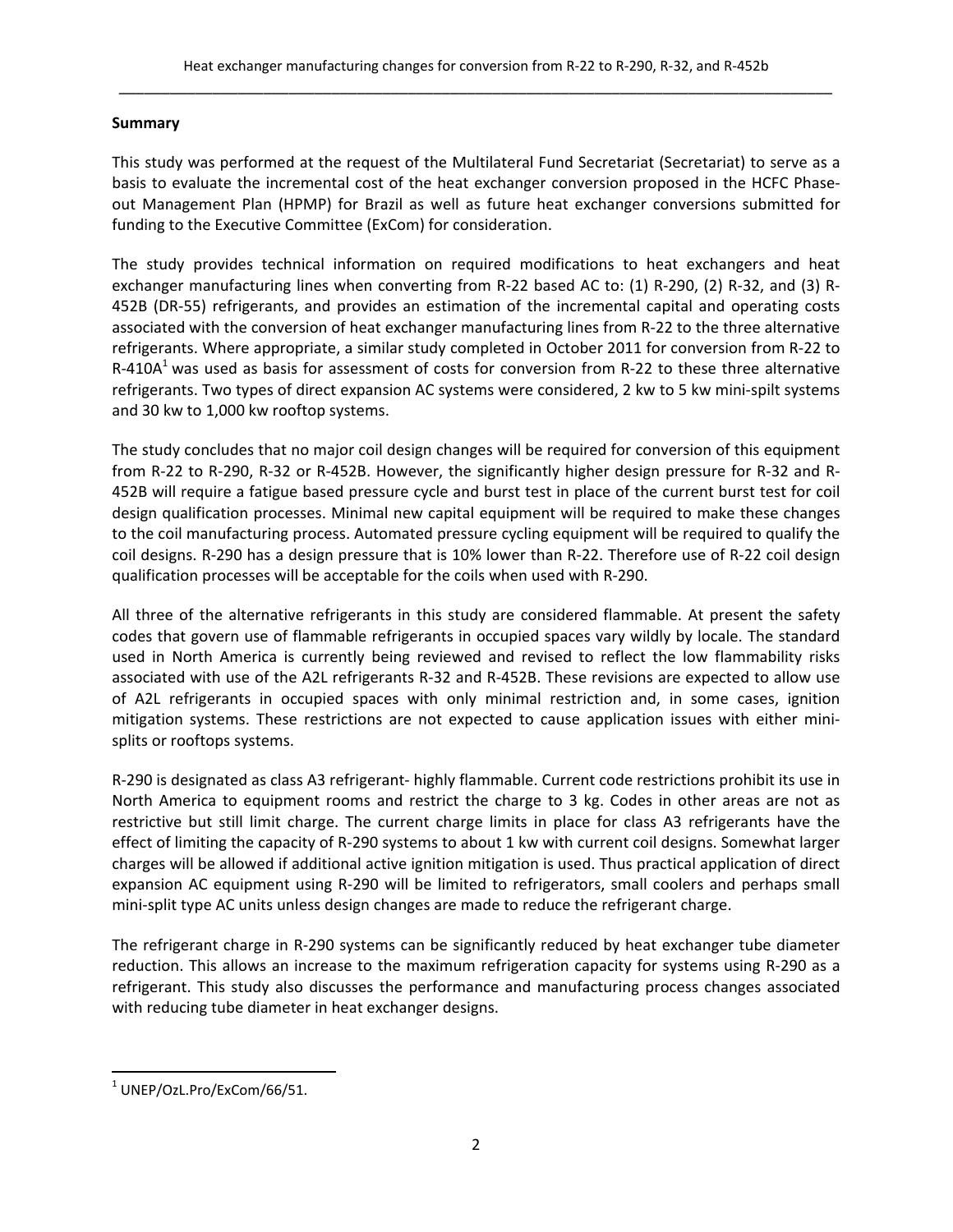### **Summary**

This study was performed at the request of the Multilateral Fund Secretariat (Secretariat) to serve as a basis to evaluate the incremental cost of the heat exchanger conversion proposed in the HCFC Phase‐ out Management Plan (HPMP) for Brazil as well as future heat exchanger conversions submitted for funding to the Executive Committee (ExCom) for consideration.

The study provides technical information on required modifications to heat exchangers and heat exchanger manufacturing lines when converting from R‐22 based AC to: (1) R‐290, (2) R‐32, and (3) R‐ 452B (DR‐55) refrigerants, and provides an estimation of the incremental capital and operating costs associated with the conversion of heat exchanger manufacturing lines from R‐22 to the three alternative refrigerants. Where appropriate, a similar study completed in October 2011 for conversion from R‐22 to R-410A<sup>1</sup> was used as basis for assessment of costs for conversion from R-22 to these three alternative refrigerants. Two types of direct expansion AC systems were considered, 2 kw to 5 kw mini‐spilt systems and 30 kw to 1,000 kw rooftop systems.

The study concludes that no major coil design changes will be required for conversion of this equipment from R‐22 to R‐290, R‐32 or R‐452B. However, the significantly higher design pressure for R‐32 and R‐ 452B will require a fatigue based pressure cycle and burst test in place of the current burst test for coil design qualification processes. Minimal new capital equipment will be required to make these changes to the coil manufacturing process. Automated pressure cycling equipment will be required to qualify the coil designs. R-290 has a design pressure that is 10% lower than R-22. Therefore use of R-22 coil design qualification processes will be acceptable for the coils when used with R‐290.

All three of the alternative refrigerants in this study are considered flammable. At present the safety codes that govern use of flammable refrigerants in occupied spaces vary wildly by locale. The standard used in North America is currently being reviewed and revised to reflect the low flammability risks associated with use of the A2L refrigerants R‐32 and R‐452B. These revisions are expected to allow use of A2L refrigerants in occupied spaces with only minimal restriction and, in some cases, ignition mitigation systems. These restrictions are not expected to cause application issues with either mini‐ splits or rooftops systems.

R‐290 is designated as class A3 refrigerant‐ highly flammable. Current code restrictions prohibit its use in North America to equipment rooms and restrict the charge to 3 kg. Codes in other areas are not as restrictive but still limit charge. The current charge limits in place for class A3 refrigerants have the effect of limiting the capacity of R‐290 systems to about 1 kw with current coil designs. Somewhat larger charges will be allowed if additional active ignition mitigation is used. Thus practical application of direct expansion AC equipment using R‐290 will be limited to refrigerators, small coolers and perhaps small mini-split type AC units unless design changes are made to reduce the refrigerant charge.

The refrigerant charge in R‐290 systems can be significantly reduced by heat exchanger tube diameter reduction. This allows an increase to the maximum refrigeration capacity for systems using R‐290 as a refrigerant. This study also discusses the performance and manufacturing process changes associated with reducing tube diameter in heat exchanger designs.

<sup>1</sup> UNEP/OzL.Pro/ExCom/66/51.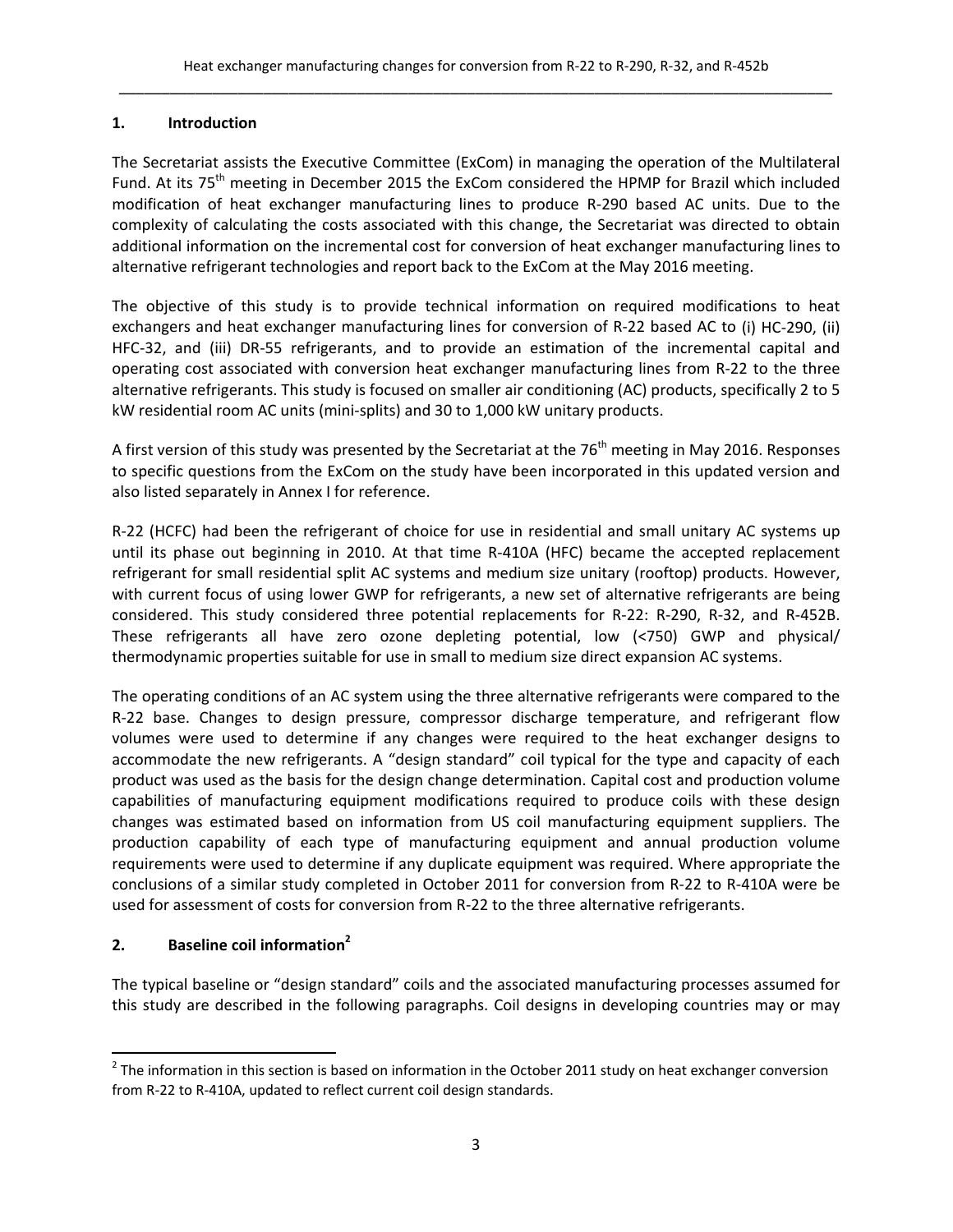## **1. Introduction**

The Secretariat assists the Executive Committee (ExCom) in managing the operation of the Multilateral Fund. At its 75<sup>th</sup> meeting in December 2015 the ExCom considered the HPMP for Brazil which included modification of heat exchanger manufacturing lines to produce R‐290 based AC units. Due to the complexity of calculating the costs associated with this change, the Secretariat was directed to obtain additional information on the incremental cost for conversion of heat exchanger manufacturing lines to alternative refrigerant technologies and report back to the ExCom at the May 2016 meeting.

The objective of this study is to provide technical information on required modifications to heat exchangers and heat exchanger manufacturing lines for conversion of R‐22 based AC to (i) HC‐290, (ii) HFC‐32, and (iii) DR‐55 refrigerants, and to provide an estimation of the incremental capital and operating cost associated with conversion heat exchanger manufacturing lines from R‐22 to the three alternative refrigerants. This study is focused on smaller air conditioning (AC) products, specifically 2 to 5 kW residential room AC units (mini‐splits) and 30 to 1,000 kW unitary products.

A first version of this study was presented by the Secretariat at the  $76<sup>th</sup>$  meeting in May 2016. Responses to specific questions from the ExCom on the study have been incorporated in this updated version and also listed separately in Annex I for reference.

R-22 (HCFC) had been the refrigerant of choice for use in residential and small unitary AC systems up until its phase out beginning in 2010. At that time R‐410A (HFC) became the accepted replacement refrigerant for small residential split AC systems and medium size unitary (rooftop) products. However, with current focus of using lower GWP for refrigerants, a new set of alternative refrigerants are being considered. This study considered three potential replacements for R‐22: R‐290, R‐32, and R‐452B. These refrigerants all have zero ozone depleting potential, low (<750) GWP and physical/ thermodynamic properties suitable for use in small to medium size direct expansion AC systems.

The operating conditions of an AC system using the three alternative refrigerants were compared to the R‐22 base. Changes to design pressure, compressor discharge temperature, and refrigerant flow volumes were used to determine if any changes were required to the heat exchanger designs to accommodate the new refrigerants. A "design standard" coil typical for the type and capacity of each product was used as the basis for the design change determination. Capital cost and production volume capabilities of manufacturing equipment modifications required to produce coils with these design changes was estimated based on information from US coil manufacturing equipment suppliers. The production capability of each type of manufacturing equipment and annual production volume requirements were used to determine if any duplicate equipment was required. Where appropriate the conclusions of a similar study completed in October 2011 for conversion from R‐22 to R‐410A were be used for assessment of costs for conversion from R-22 to the three alternative refrigerants.

## **2. Baseline coil information<sup>2</sup>**

The typical baseline or "design standard" coils and the associated manufacturing processes assumed for this study are described in the following paragraphs. Coil designs in developing countries may or may

 $2$  The information in this section is based on information in the October 2011 study on heat exchanger conversion from R‐22 to R‐410A, updated to reflect current coil design standards.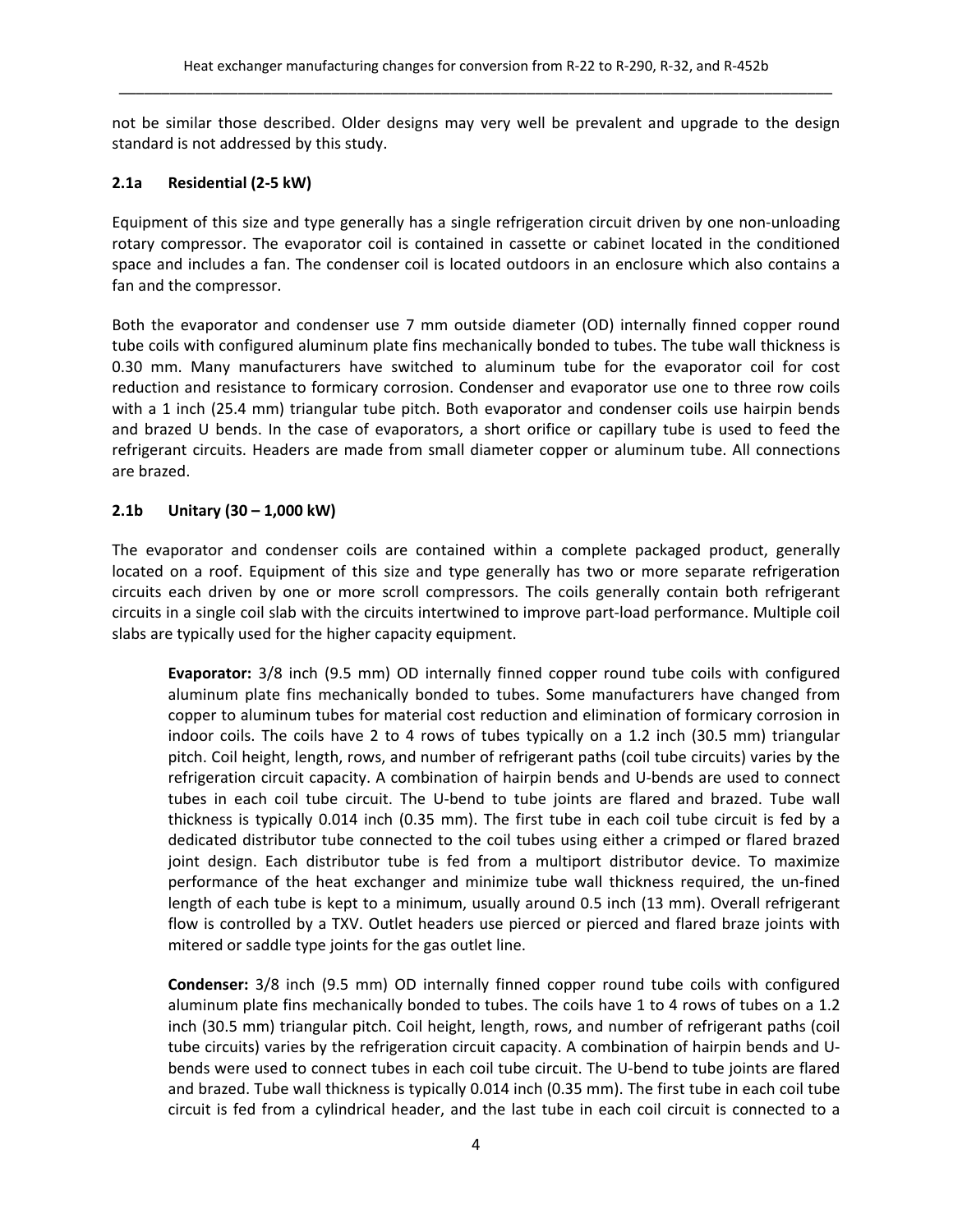not be similar those described. Older designs may very well be prevalent and upgrade to the design standard is not addressed by this study.

## **2.1a Residential (2‐5 kW)**

Equipment of this size and type generally has a single refrigeration circuit driven by one non‐unloading rotary compressor. The evaporator coil is contained in cassette or cabinet located in the conditioned space and includes a fan. The condenser coil is located outdoors in an enclosure which also contains a fan and the compressor.

Both the evaporator and condenser use 7 mm outside diameter (OD) internally finned copper round tube coils with configured aluminum plate fins mechanically bonded to tubes. The tube wall thickness is 0.30 mm. Many manufacturers have switched to aluminum tube for the evaporator coil for cost reduction and resistance to formicary corrosion. Condenser and evaporator use one to three row coils with a 1 inch (25.4 mm) triangular tube pitch. Both evaporator and condenser coils use hairpin bends and brazed U bends. In the case of evaporators, a short orifice or capillary tube is used to feed the refrigerant circuits. Headers are made from small diameter copper or aluminum tube. All connections are brazed.

## **2.1b Unitary (30 – 1,000 kW)**

The evaporator and condenser coils are contained within a complete packaged product, generally located on a roof. Equipment of this size and type generally has two or more separate refrigeration circuits each driven by one or more scroll compressors. The coils generally contain both refrigerant circuits in a single coil slab with the circuits intertwined to improve part‐load performance. Multiple coil slabs are typically used for the higher capacity equipment.

**Evaporator:** 3/8 inch (9.5 mm) OD internally finned copper round tube coils with configured aluminum plate fins mechanically bonded to tubes. Some manufacturers have changed from copper to aluminum tubes for material cost reduction and elimination of formicary corrosion in indoor coils. The coils have 2 to 4 rows of tubes typically on a 1.2 inch (30.5 mm) triangular pitch. Coil height, length, rows, and number of refrigerant paths (coil tube circuits) varies by the refrigeration circuit capacity. A combination of hairpin bends and U‐bends are used to connect tubes in each coil tube circuit. The U‐bend to tube joints are flared and brazed. Tube wall thickness is typically 0.014 inch (0.35 mm). The first tube in each coil tube circuit is fed by a dedicated distributor tube connected to the coil tubes using either a crimped or flared brazed joint design. Each distributor tube is fed from a multiport distributor device. To maximize performance of the heat exchanger and minimize tube wall thickness required, the un‐fined length of each tube is kept to a minimum, usually around 0.5 inch (13 mm). Overall refrigerant flow is controlled by a TXV. Outlet headers use pierced or pierced and flared braze joints with mitered or saddle type joints for the gas outlet line.

**Condenser:** 3/8 inch (9.5 mm) OD internally finned copper round tube coils with configured aluminum plate fins mechanically bonded to tubes. The coils have 1 to 4 rows of tubes on a 1.2 inch (30.5 mm) triangular pitch. Coil height, length, rows, and number of refrigerant paths (coil tube circuits) varies by the refrigeration circuit capacity. A combination of hairpin bends and U‐ bends were used to connect tubes in each coil tube circuit. The U‐bend to tube joints are flared and brazed. Tube wall thickness is typically 0.014 inch (0.35 mm). The first tube in each coil tube circuit is fed from a cylindrical header, and the last tube in each coil circuit is connected to a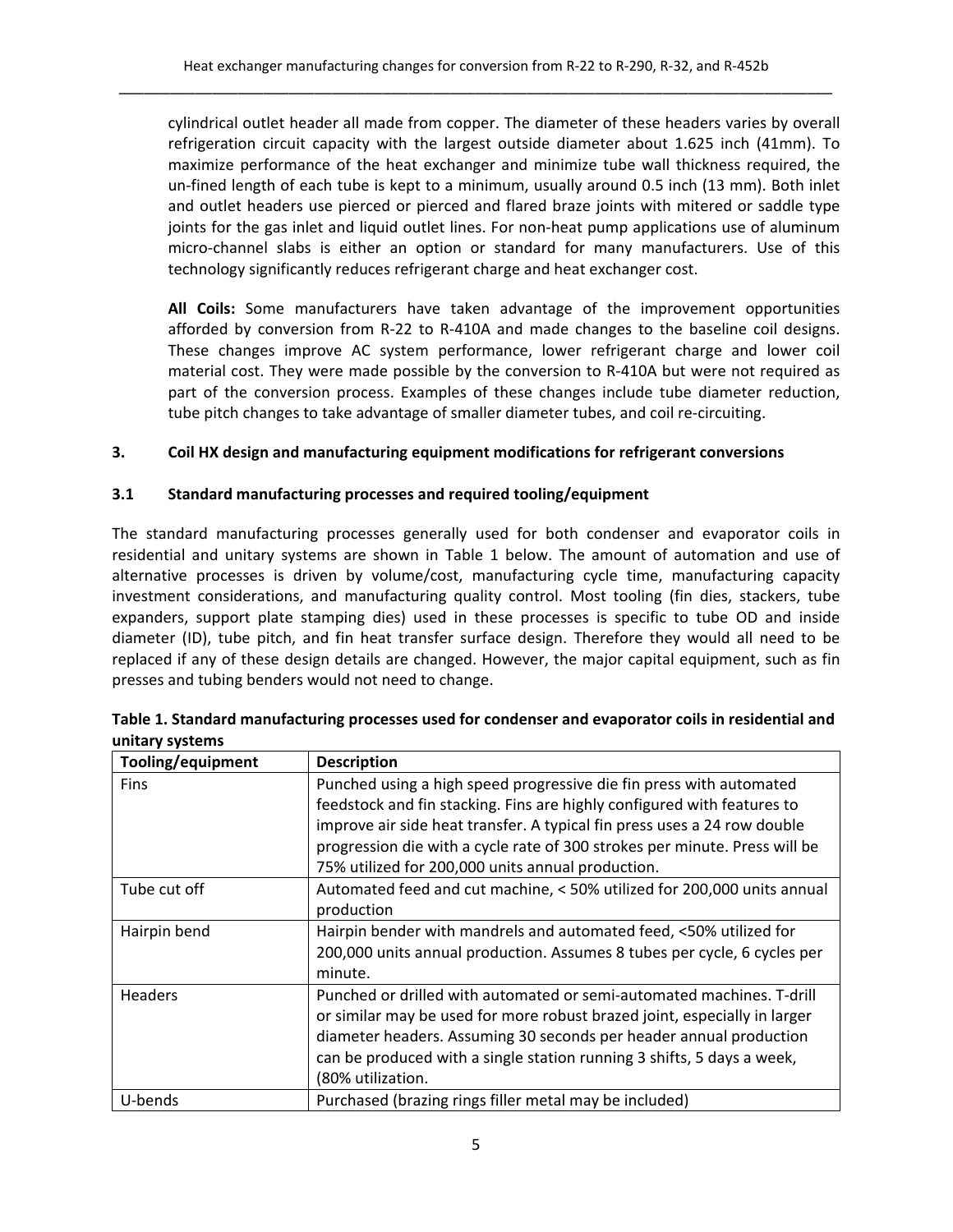cylindrical outlet header all made from copper. The diameter of these headers varies by overall refrigeration circuit capacity with the largest outside diameter about 1.625 inch (41mm). To maximize performance of the heat exchanger and minimize tube wall thickness required, the un-fined length of each tube is kept to a minimum, usually around 0.5 inch (13 mm). Both inlet and outlet headers use pierced or pierced and flared braze joints with mitered or saddle type joints for the gas inlet and liquid outlet lines. For non-heat pump applications use of aluminum micro‐channel slabs is either an option or standard for many manufacturers. Use of this technology significantly reduces refrigerant charge and heat exchanger cost.

**All Coils:** Some manufacturers have taken advantage of the improvement opportunities afforded by conversion from R‐22 to R‐410A and made changes to the baseline coil designs. These changes improve AC system performance, lower refrigerant charge and lower coil material cost. They were made possible by the conversion to R‐410A but were not required as part of the conversion process. Examples of these changes include tube diameter reduction, tube pitch changes to take advantage of smaller diameter tubes, and coil re‐circuiting.

## **3. Coil HX design and manufacturing equipment modifications for refrigerant conversions**

#### **3.1 Standard manufacturing processes and required tooling/equipment**

The standard manufacturing processes generally used for both condenser and evaporator coils in residential and unitary systems are shown in Table 1 below. The amount of automation and use of alternative processes is driven by volume/cost, manufacturing cycle time, manufacturing capacity investment considerations, and manufacturing quality control. Most tooling (fin dies, stackers, tube expanders, support plate stamping dies) used in these processes is specific to tube OD and inside diameter (ID), tube pitch, and fin heat transfer surface design. Therefore they would all need to be replaced if any of these design details are changed. However, the major capital equipment, such as fin presses and tubing benders would not need to change.

| Tooling/equipment | <b>Description</b>                                                                                                                             |
|-------------------|------------------------------------------------------------------------------------------------------------------------------------------------|
| <b>Fins</b>       | Punched using a high speed progressive die fin press with automated<br>feedstock and fin stacking. Fins are highly configured with features to |
|                   | improve air side heat transfer. A typical fin press uses a 24 row double                                                                       |
|                   | progression die with a cycle rate of 300 strokes per minute. Press will be                                                                     |
|                   | 75% utilized for 200,000 units annual production.                                                                                              |
| Tube cut off      | Automated feed and cut machine, < 50% utilized for 200,000 units annual                                                                        |
|                   | production                                                                                                                                     |
| Hairpin bend      | Hairpin bender with mandrels and automated feed, <50% utilized for                                                                             |
|                   | 200,000 units annual production. Assumes 8 tubes per cycle, 6 cycles per                                                                       |
|                   | minute.                                                                                                                                        |
| <b>Headers</b>    | Punched or drilled with automated or semi-automated machines. T-drill                                                                          |
|                   | or similar may be used for more robust brazed joint, especially in larger                                                                      |
|                   | diameter headers. Assuming 30 seconds per header annual production                                                                             |
|                   | can be produced with a single station running 3 shifts, 5 days a week,                                                                         |
|                   | (80% utilization.                                                                                                                              |
| U-bends           | Purchased (brazing rings filler metal may be included)                                                                                         |

| Table 1. Standard manufacturing processes used for condenser and evaporator coils in residential and |  |
|------------------------------------------------------------------------------------------------------|--|
| unitary systems                                                                                      |  |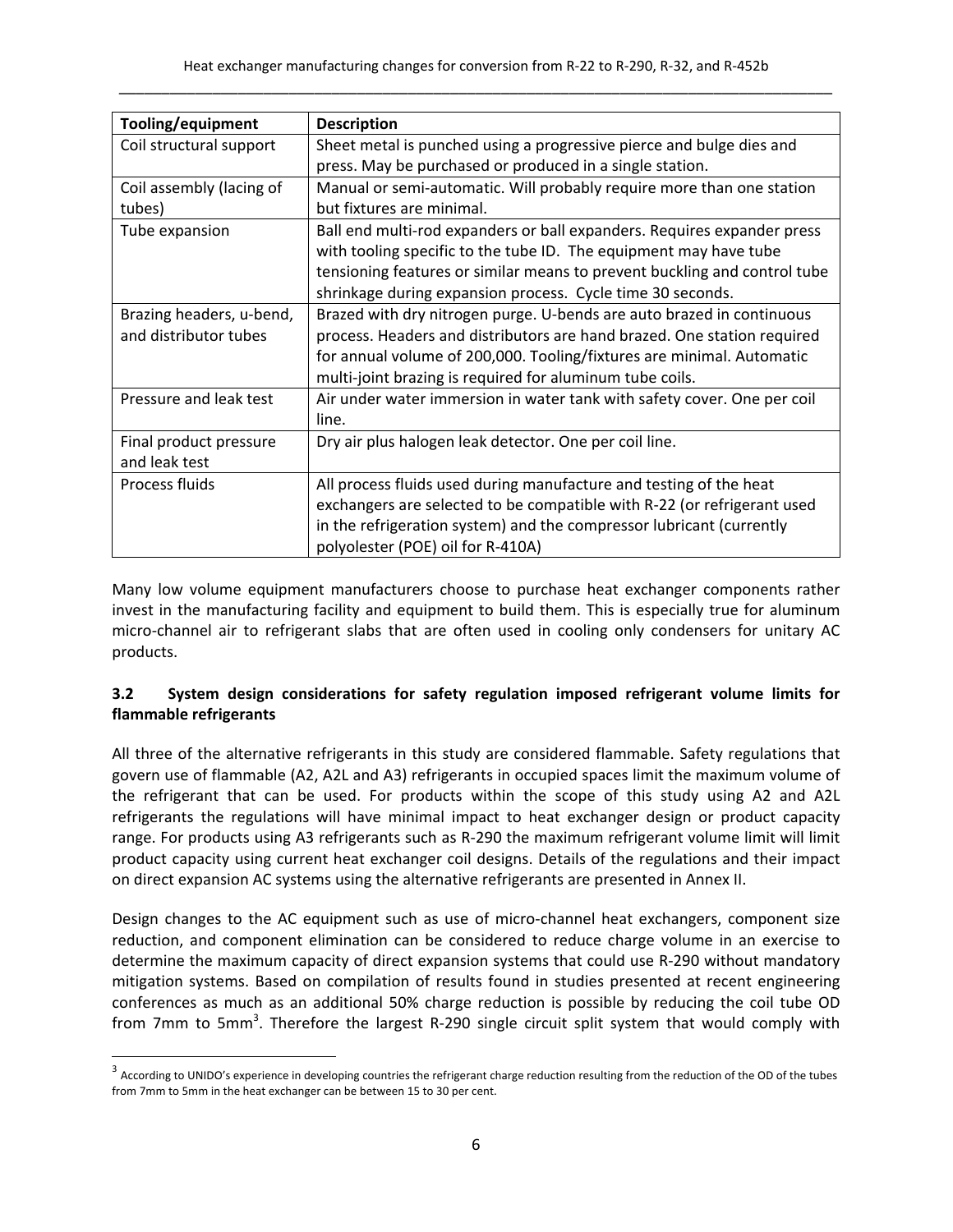| Tooling/equipment        | <b>Description</b>                                                        |
|--------------------------|---------------------------------------------------------------------------|
| Coil structural support  | Sheet metal is punched using a progressive pierce and bulge dies and      |
|                          | press. May be purchased or produced in a single station.                  |
| Coil assembly (lacing of | Manual or semi-automatic. Will probably require more than one station     |
| tubes)                   | but fixtures are minimal.                                                 |
| Tube expansion           | Ball end multi-rod expanders or ball expanders. Requires expander press   |
|                          | with tooling specific to the tube ID. The equipment may have tube         |
|                          | tensioning features or similar means to prevent buckling and control tube |
|                          | shrinkage during expansion process. Cycle time 30 seconds.                |
| Brazing headers, u-bend, | Brazed with dry nitrogen purge. U-bends are auto brazed in continuous     |
| and distributor tubes    | process. Headers and distributors are hand brazed. One station required   |
|                          | for annual volume of 200,000. Tooling/fixtures are minimal. Automatic     |
|                          | multi-joint brazing is required for aluminum tube coils.                  |
| Pressure and leak test   | Air under water immersion in water tank with safety cover. One per coil   |
|                          | line.                                                                     |
| Final product pressure   | Dry air plus halogen leak detector. One per coil line.                    |
| and leak test            |                                                                           |
| Process fluids           | All process fluids used during manufacture and testing of the heat        |
|                          | exchangers are selected to be compatible with R-22 (or refrigerant used   |
|                          | in the refrigeration system) and the compressor lubricant (currently      |
|                          | polyolester (POE) oil for R-410A)                                         |

Many low volume equipment manufacturers choose to purchase heat exchanger components rather invest in the manufacturing facility and equipment to build them. This is especially true for aluminum micro‐channel air to refrigerant slabs that are often used in cooling only condensers for unitary AC products.

## **3.2 System design considerations for safety regulation imposed refrigerant volume limits for flammable refrigerants**

All three of the alternative refrigerants in this study are considered flammable. Safety regulations that govern use of flammable (A2, A2L and A3) refrigerants in occupied spaces limit the maximum volume of the refrigerant that can be used. For products within the scope of this study using A2 and A2L refrigerants the regulations will have minimal impact to heat exchanger design or product capacity range. For products using A3 refrigerants such as R‐290 the maximum refrigerant volume limit will limit product capacity using current heat exchanger coil designs. Details of the regulations and their impact on direct expansion AC systems using the alternative refrigerants are presented in Annex II.

Design changes to the AC equipment such as use of micro-channel heat exchangers, component size reduction, and component elimination can be considered to reduce charge volume in an exercise to determine the maximum capacity of direct expansion systems that could use R‐290 without mandatory mitigation systems. Based on compilation of results found in studies presented at recent engineering conferences as much as an additional 50% charge reduction is possible by reducing the coil tube OD from 7mm to 5mm<sup>3</sup>. Therefore the largest R-290 single circuit split system that would comply with

<sup>&</sup>lt;sup>3</sup> According to UNIDO's experience in developing countries the refrigerant charge reduction resulting from the reduction of the OD of the tubes from 7mm to 5mm in the heat exchanger can be between 15 to 30 per cent.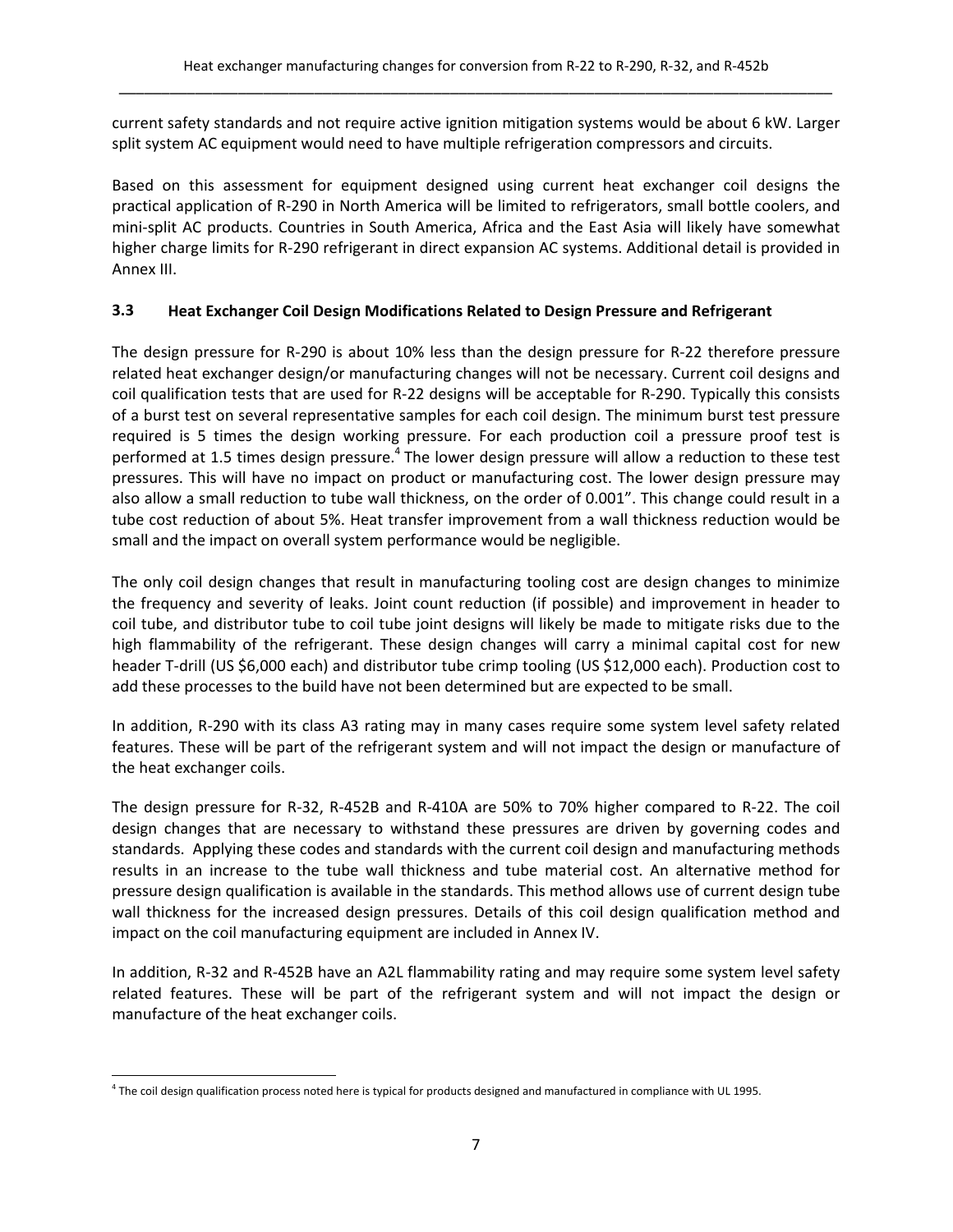current safety standards and not require active ignition mitigation systems would be about 6 kW. Larger split system AC equipment would need to have multiple refrigeration compressors and circuits.

Based on this assessment for equipment designed using current heat exchanger coil designs the practical application of R‐290 in North America will be limited to refrigerators, small bottle coolers, and mini-split AC products. Countries in South America, Africa and the East Asia will likely have somewhat higher charge limits for R‐290 refrigerant in direct expansion AC systems. Additional detail is provided in Annex III.

## **3.3 Heat Exchanger Coil Design Modifications Related to Design Pressure and Refrigerant**

The design pressure for R‐290 is about 10% less than the design pressure for R‐22 therefore pressure related heat exchanger design/or manufacturing changes will not be necessary. Current coil designs and coil qualification tests that are used for R‐22 designs will be acceptable for R‐290. Typically this consists of a burst test on several representative samples for each coil design. The minimum burst test pressure required is 5 times the design working pressure. For each production coil a pressure proof test is performed at 1.5 times design pressure.<sup>4</sup> The lower design pressure will allow a reduction to these test pressures. This will have no impact on product or manufacturing cost. The lower design pressure may also allow a small reduction to tube wall thickness, on the order of 0.001". This change could result in a tube cost reduction of about 5%. Heat transfer improvement from a wall thickness reduction would be small and the impact on overall system performance would be negligible.

The only coil design changes that result in manufacturing tooling cost are design changes to minimize the frequency and severity of leaks. Joint count reduction (if possible) and improvement in header to coil tube, and distributor tube to coil tube joint designs will likely be made to mitigate risks due to the high flammability of the refrigerant. These design changes will carry a minimal capital cost for new header T-drill (US \$6,000 each) and distributor tube crimp tooling (US \$12,000 each). Production cost to add these processes to the build have not been determined but are expected to be small.

In addition, R-290 with its class A3 rating may in many cases require some system level safety related features. These will be part of the refrigerant system and will not impact the design or manufacture of the heat exchanger coils.

The design pressure for R‐32, R‐452B and R‐410A are 50% to 70% higher compared to R‐22. The coil design changes that are necessary to withstand these pressures are driven by governing codes and standards. Applying these codes and standards with the current coil design and manufacturing methods results in an increase to the tube wall thickness and tube material cost. An alternative method for pressure design qualification is available in the standards. This method allows use of current design tube wall thickness for the increased design pressures. Details of this coil design qualification method and impact on the coil manufacturing equipment are included in Annex IV.

In addition, R‐32 and R‐452B have an A2L flammability rating and may require some system level safety related features. These will be part of the refrigerant system and will not impact the design or manufacture of the heat exchanger coils.

 <sup>4</sup> The coil design qualification process noted here is typical for products designed and manufactured in compliance with UL 1995.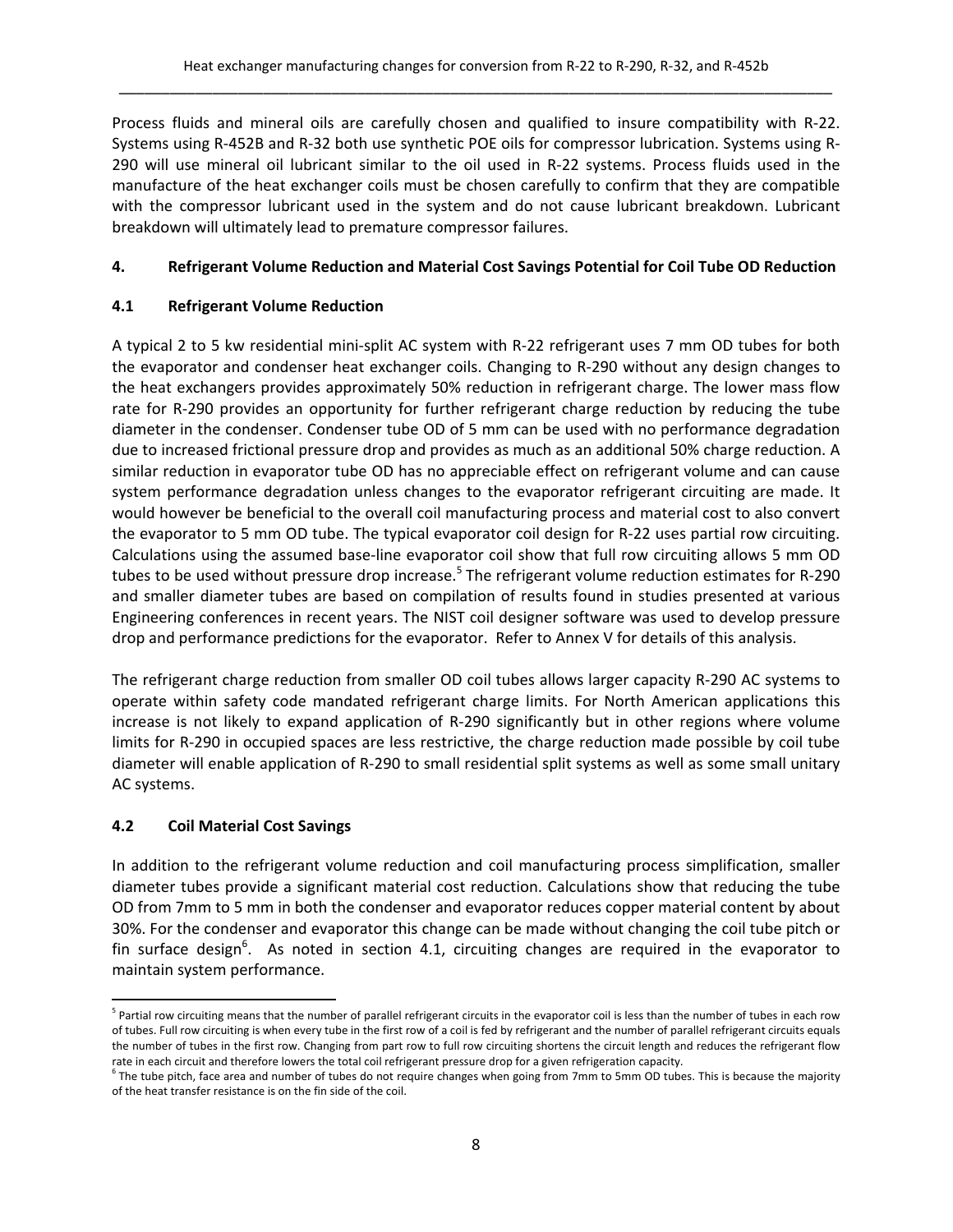Process fluids and mineral oils are carefully chosen and qualified to insure compatibility with R‐22. Systems using R‐452B and R‐32 both use synthetic POE oils for compressor lubrication. Systems using R‐ 290 will use mineral oil lubricant similar to the oil used in R‐22 systems. Process fluids used in the manufacture of the heat exchanger coils must be chosen carefully to confirm that they are compatible with the compressor lubricant used in the system and do not cause lubricant breakdown. Lubricant breakdown will ultimately lead to premature compressor failures.

## **4. Refrigerant Volume Reduction and Material Cost Savings Potential for Coil Tube OD Reduction**

## **4.1 Refrigerant Volume Reduction**

A typical 2 to 5 kw residential mini‐split AC system with R‐22 refrigerant uses 7 mm OD tubes for both the evaporator and condenser heat exchanger coils. Changing to R‐290 without any design changes to the heat exchangers provides approximately 50% reduction in refrigerant charge. The lower mass flow rate for R-290 provides an opportunity for further refrigerant charge reduction by reducing the tube diameter in the condenser. Condenser tube OD of 5 mm can be used with no performance degradation due to increased frictional pressure drop and provides as much as an additional 50% charge reduction. A similar reduction in evaporator tube OD has no appreciable effect on refrigerant volume and can cause system performance degradation unless changes to the evaporator refrigerant circuiting are made. It would however be beneficial to the overall coil manufacturing process and material cost to also convert the evaporator to 5 mm OD tube. The typical evaporator coil design for R‐22 uses partial row circuiting. Calculations using the assumed base‐line evaporator coil show that full row circuiting allows 5 mm OD tubes to be used without pressure drop increase.<sup>5</sup> The refrigerant volume reduction estimates for R-290 and smaller diameter tubes are based on compilation of results found in studies presented at various Engineering conferences in recent years. The NIST coil designer software was used to develop pressure drop and performance predictions for the evaporator. Refer to Annex V for details of this analysis.

The refrigerant charge reduction from smaller OD coil tubes allows larger capacity R‐290 AC systems to operate within safety code mandated refrigerant charge limits. For North American applications this increase is not likely to expand application of R‐290 significantly but in other regions where volume limits for R‐290 in occupied spaces are less restrictive, the charge reduction made possible by coil tube diameter will enable application of R‐290 to small residential split systems as well as some small unitary AC systems.

## **4.2 Coil Material Cost Savings**

In addition to the refrigerant volume reduction and coil manufacturing process simplification, smaller diameter tubes provide a significant material cost reduction. Calculations show that reducing the tube OD from 7mm to 5 mm in both the condenser and evaporator reduces copper material content by about 30%. For the condenser and evaporator this change can be made without changing the coil tube pitch or fin surface design<sup>6</sup>. As noted in section 4.1, circuiting changes are required in the evaporator to maintain system performance.

<sup>&</sup>lt;sup>5</sup> Partial row circuiting means that the number of parallel refrigerant circuits in the evaporator coil is less than the number of tubes in each row of tubes. Full row circuiting is when every tube in the first row of a coil is fed by refrigerant and the number of parallel refrigerant circuits equals the number of tubes in the first row. Changing from part row to full row circuiting shortens the circuit length and reduces the refrigerant flow rate in each circuit and therefore lowers the total coil refrigerant pressure drop for a given refrigeration capacity.

 $6$  The tube pitch, face area and number of tubes do not require changes when going from 7mm to 5mm OD tubes. This is because the majority of the heat transfer resistance is on the fin side of the coil.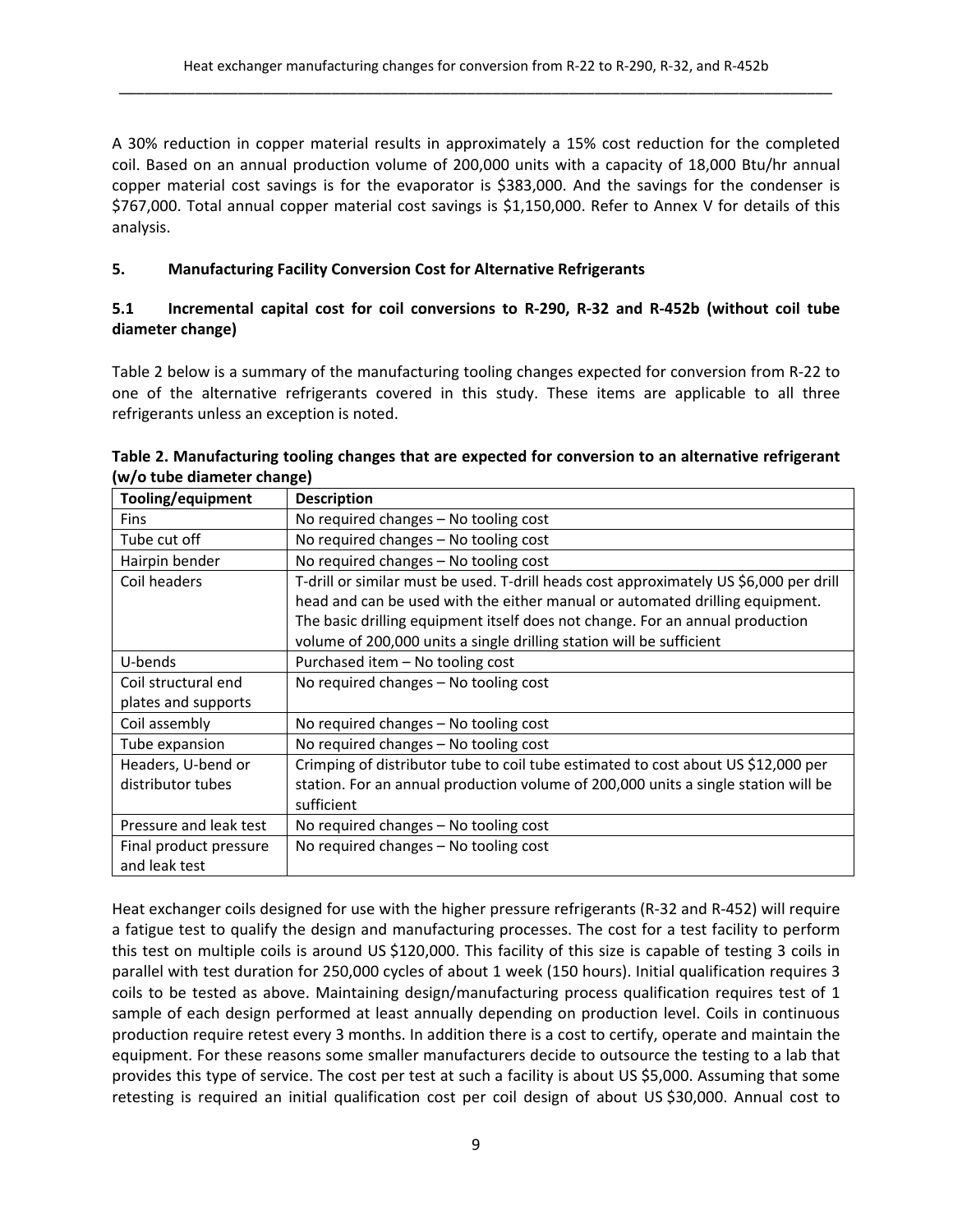A 30% reduction in copper material results in approximately a 15% cost reduction for the completed coil. Based on an annual production volume of 200,000 units with a capacity of 18,000 Btu/hr annual copper material cost savings is for the evaporator is \$383,000. And the savings for the condenser is \$767,000. Total annual copper material cost savings is \$1,150,000. Refer to Annex V for details of this analysis.

## **5. Manufacturing Facility Conversion Cost for Alternative Refrigerants**

## 5.1 Incremental capital cost for coil conversions to R-290, R-32 and R-452b (without coil tube **diameter change)**

Table 2 below is a summary of the manufacturing tooling changes expected for conversion from R‐22 to one of the alternative refrigerants covered in this study. These items are applicable to all three refrigerants unless an exception is noted.

| Tooling/equipment      | <b>Description</b>                                                                     |
|------------------------|----------------------------------------------------------------------------------------|
| <b>Fins</b>            | No required changes - No tooling cost                                                  |
| Tube cut off           | No required changes - No tooling cost                                                  |
| Hairpin bender         | No required changes - No tooling cost                                                  |
| Coil headers           | T-drill or similar must be used. T-drill heads cost approximately US \$6,000 per drill |
|                        | head and can be used with the either manual or automated drilling equipment.           |
|                        | The basic drilling equipment itself does not change. For an annual production          |
|                        | volume of 200,000 units a single drilling station will be sufficient                   |
| U-bends                | Purchased item - No tooling cost                                                       |
| Coil structural end    | No required changes - No tooling cost                                                  |
| plates and supports    |                                                                                        |
| Coil assembly          | No required changes $-$ No tooling cost                                                |
| Tube expansion         | No required changes - No tooling cost                                                  |
| Headers, U-bend or     | Crimping of distributor tube to coil tube estimated to cost about US \$12,000 per      |
| distributor tubes      | station. For an annual production volume of 200,000 units a single station will be     |
|                        | sufficient                                                                             |
| Pressure and leak test | No required changes $-$ No tooling cost                                                |
| Final product pressure | No required changes - No tooling cost                                                  |
| and leak test          |                                                                                        |

## **Table 2. Manufacturing tooling changes that are expected for conversion to an alternative refrigerant (w/o tube diameter change)**

Heat exchanger coils designed for use with the higher pressure refrigerants (R‐32 and R‐452) will require a fatigue test to qualify the design and manufacturing processes. The cost for a test facility to perform this test on multiple coils is around US \$120,000. This facility of this size is capable of testing 3 coils in parallel with test duration for 250,000 cycles of about 1 week (150 hours). Initial qualification requires 3 coils to be tested as above. Maintaining design/manufacturing process qualification requires test of 1 sample of each design performed at least annually depending on production level. Coils in continuous production require retest every 3 months. In addition there is a cost to certify, operate and maintain the equipment. For these reasons some smaller manufacturers decide to outsource the testing to a lab that provides this type of service. The cost per test at such a facility is about US \$5,000. Assuming that some retesting is required an initial qualification cost per coil design of about US \$30,000. Annual cost to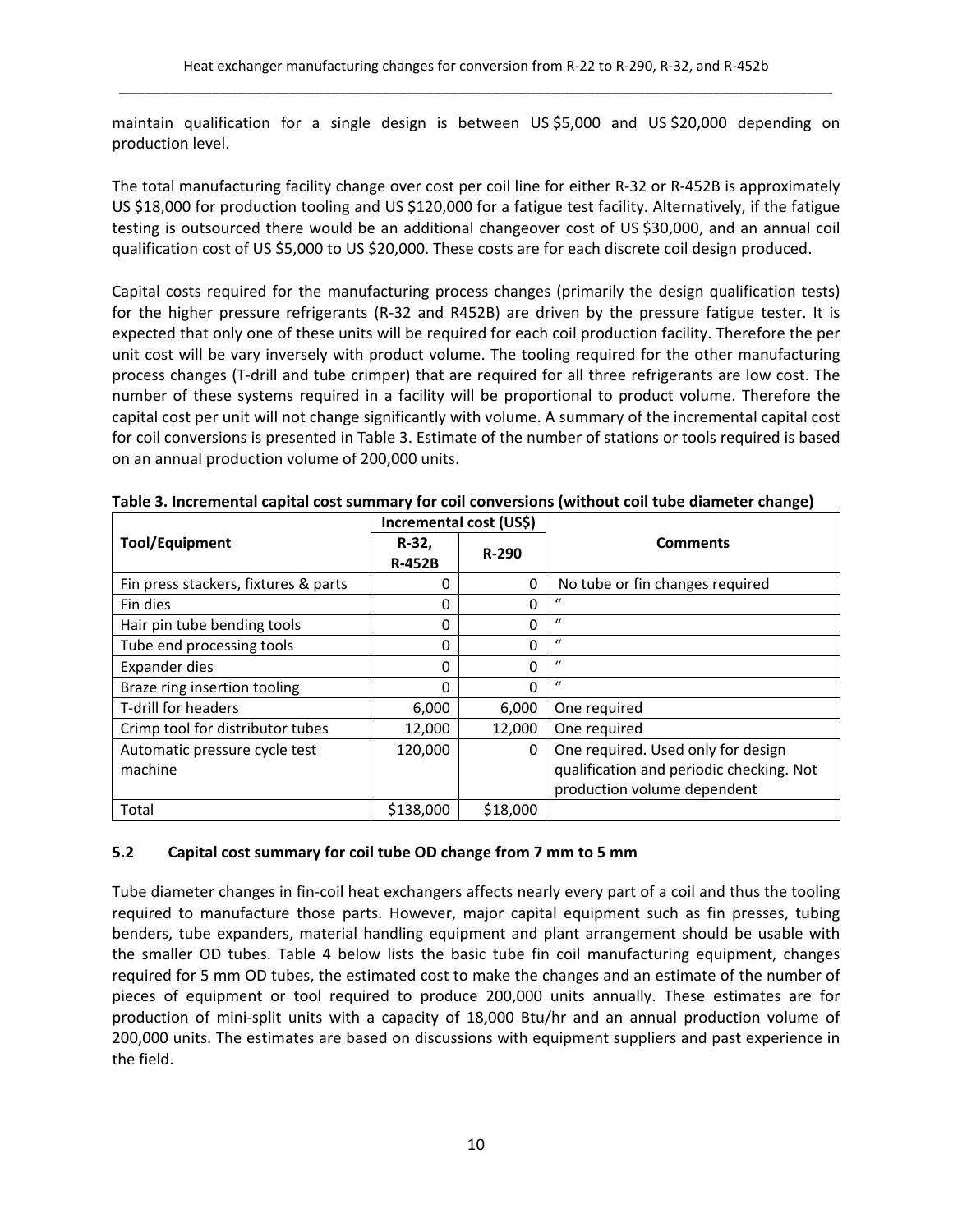maintain qualification for a single design is between US \$5,000 and US \$20,000 depending on production level.

The total manufacturing facility change over cost per coil line for either R‐32 or R‐452B is approximately US \$18,000 for production tooling and US \$120,000 for a fatigue test facility. Alternatively, if the fatigue testing is outsourced there would be an additional changeover cost of US \$30,000, and an annual coil qualification cost of US \$5,000 to US \$20,000. These costs are for each discrete coil design produced.

Capital costs required for the manufacturing process changes (primarily the design qualification tests) for the higher pressure refrigerants (R‐32 and R452B) are driven by the pressure fatigue tester. It is expected that only one of these units will be required for each coil production facility. Therefore the per unit cost will be vary inversely with product volume. The tooling required for the other manufacturing process changes (T‐drill and tube crimper) that are required for all three refrigerants are low cost. The number of these systems required in a facility will be proportional to product volume. Therefore the capital cost per unit will not change significantly with volume. A summary of the incremental capital cost for coil conversions is presented in Table 3. Estimate of the number of stations or tools required is based on an annual production volume of 200,000 units.

|                                      | Incremental cost (US\$) |          |                                                                         |
|--------------------------------------|-------------------------|----------|-------------------------------------------------------------------------|
| <b>Tool/Equipment</b>                | R-32,<br><b>R-452B</b>  | $R-290$  | <b>Comments</b>                                                         |
| Fin press stackers, fixtures & parts | 0                       | 0        | No tube or fin changes required                                         |
| Fin dies                             | 0                       | $\Omega$ | $\iota$                                                                 |
| Hair pin tube bending tools          | 0                       | $\Omega$ | $\iota$                                                                 |
| Tube end processing tools            | 0                       | $\Omega$ | $\boldsymbol{u}$                                                        |
| Expander dies                        | 0                       | $\Omega$ | $\iota$                                                                 |
| Braze ring insertion tooling         | 0                       | $\Omega$ | $\mathcal{U}$                                                           |
| T-drill for headers                  | 6,000                   | 6,000    | One required                                                            |
| Crimp tool for distributor tubes     | 12,000                  | 12,000   | One required                                                            |
| Automatic pressure cycle test        | 120,000                 | 0        | One required. Used only for design                                      |
| machine                              |                         |          | qualification and periodic checking. Not<br>production volume dependent |
| Total                                | \$138,000               | \$18,000 |                                                                         |

**Table 3. Incremental capital cost summary for coil conversions (without coil tube diameter change)**

## **5.2 Capital cost summary for coil tube OD change from 7 mm to 5 mm**

Tube diameter changes in fin‐coil heat exchangers affects nearly every part of a coil and thus the tooling required to manufacture those parts. However, major capital equipment such as fin presses, tubing benders, tube expanders, material handling equipment and plant arrangement should be usable with the smaller OD tubes. Table 4 below lists the basic tube fin coil manufacturing equipment, changes required for 5 mm OD tubes, the estimated cost to make the changes and an estimate of the number of pieces of equipment or tool required to produce 200,000 units annually. These estimates are for production of mini‐split units with a capacity of 18,000 Btu/hr and an annual production volume of 200,000 units. The estimates are based on discussions with equipment suppliers and past experience in the field.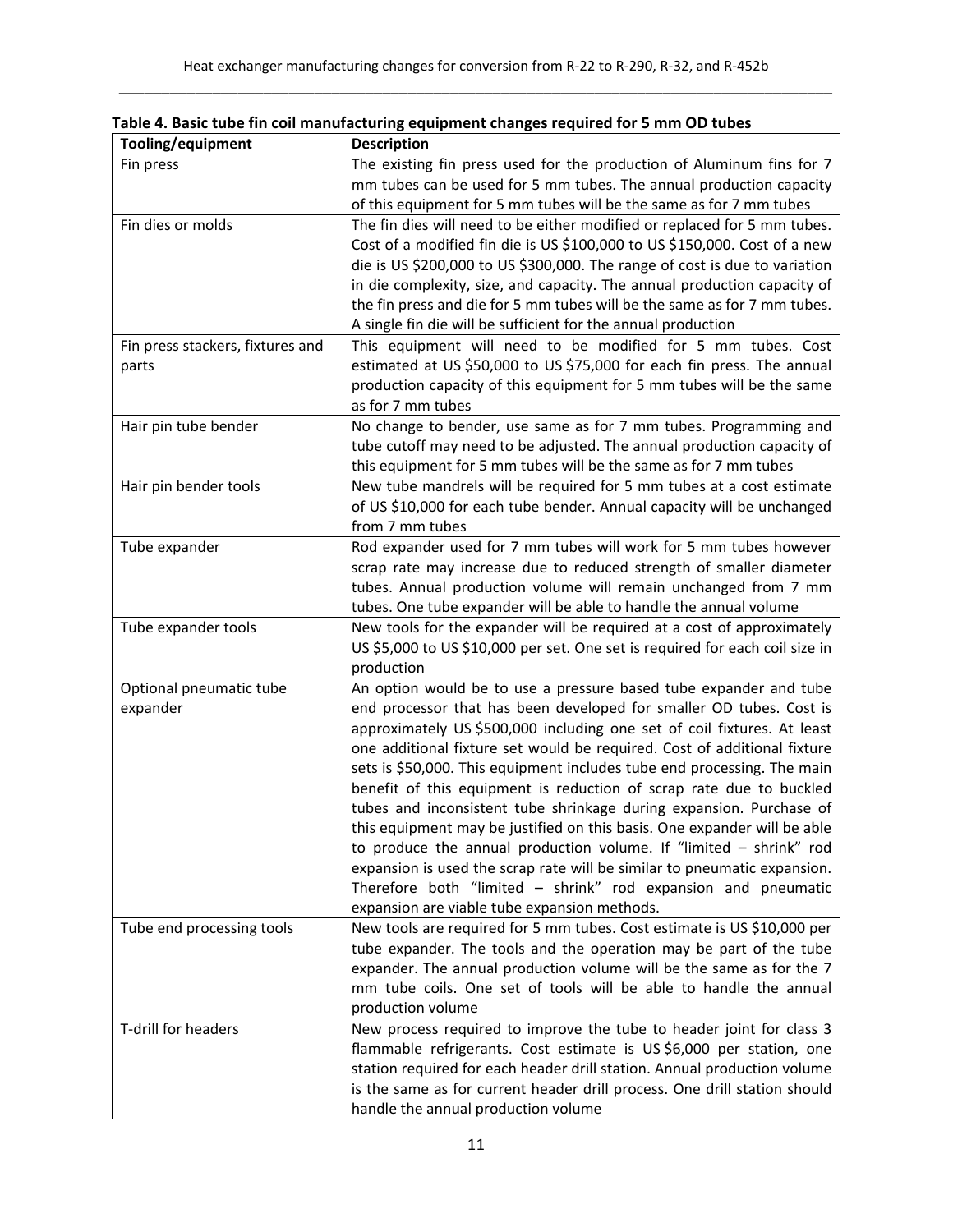| Tooling/equipment                         | <b>Description</b>                                                                                                                                                                                                                                                                                                                                                                                                                                                                                                                                                                                                                                                                                                                                                                                                                                                        |
|-------------------------------------------|---------------------------------------------------------------------------------------------------------------------------------------------------------------------------------------------------------------------------------------------------------------------------------------------------------------------------------------------------------------------------------------------------------------------------------------------------------------------------------------------------------------------------------------------------------------------------------------------------------------------------------------------------------------------------------------------------------------------------------------------------------------------------------------------------------------------------------------------------------------------------|
| Fin press                                 | The existing fin press used for the production of Aluminum fins for 7<br>mm tubes can be used for 5 mm tubes. The annual production capacity<br>of this equipment for 5 mm tubes will be the same as for 7 mm tubes                                                                                                                                                                                                                                                                                                                                                                                                                                                                                                                                                                                                                                                       |
| Fin dies or molds                         | The fin dies will need to be either modified or replaced for 5 mm tubes.<br>Cost of a modified fin die is US \$100,000 to US \$150,000. Cost of a new<br>die is US \$200,000 to US \$300,000. The range of cost is due to variation<br>in die complexity, size, and capacity. The annual production capacity of<br>the fin press and die for 5 mm tubes will be the same as for 7 mm tubes.<br>A single fin die will be sufficient for the annual production                                                                                                                                                                                                                                                                                                                                                                                                              |
| Fin press stackers, fixtures and<br>parts | This equipment will need to be modified for 5 mm tubes. Cost<br>estimated at US \$50,000 to US \$75,000 for each fin press. The annual<br>production capacity of this equipment for 5 mm tubes will be the same<br>as for 7 mm tubes                                                                                                                                                                                                                                                                                                                                                                                                                                                                                                                                                                                                                                      |
| Hair pin tube bender                      | No change to bender, use same as for 7 mm tubes. Programming and<br>tube cutoff may need to be adjusted. The annual production capacity of<br>this equipment for 5 mm tubes will be the same as for 7 mm tubes                                                                                                                                                                                                                                                                                                                                                                                                                                                                                                                                                                                                                                                            |
| Hair pin bender tools                     | New tube mandrels will be required for 5 mm tubes at a cost estimate<br>of US \$10,000 for each tube bender. Annual capacity will be unchanged<br>from 7 mm tubes                                                                                                                                                                                                                                                                                                                                                                                                                                                                                                                                                                                                                                                                                                         |
| Tube expander                             | Rod expander used for 7 mm tubes will work for 5 mm tubes however<br>scrap rate may increase due to reduced strength of smaller diameter<br>tubes. Annual production volume will remain unchanged from 7 mm<br>tubes. One tube expander will be able to handle the annual volume                                                                                                                                                                                                                                                                                                                                                                                                                                                                                                                                                                                          |
| Tube expander tools                       | New tools for the expander will be required at a cost of approximately<br>US \$5,000 to US \$10,000 per set. One set is required for each coil size in<br>production                                                                                                                                                                                                                                                                                                                                                                                                                                                                                                                                                                                                                                                                                                      |
| Optional pneumatic tube<br>expander       | An option would be to use a pressure based tube expander and tube<br>end processor that has been developed for smaller OD tubes. Cost is<br>approximately US \$500,000 including one set of coil fixtures. At least<br>one additional fixture set would be required. Cost of additional fixture<br>sets is \$50,000. This equipment includes tube end processing. The main<br>benefit of this equipment is reduction of scrap rate due to buckled<br>tubes and inconsistent tube shrinkage during expansion. Purchase of<br>this equipment may be justified on this basis. One expander will be able<br>to produce the annual production volume. If "limited $-$ shrink" rod<br>expansion is used the scrap rate will be similar to pneumatic expansion.<br>Therefore both "limited - shrink" rod expansion and pneumatic<br>expansion are viable tube expansion methods. |
| Tube end processing tools                 | New tools are required for 5 mm tubes. Cost estimate is US \$10,000 per<br>tube expander. The tools and the operation may be part of the tube<br>expander. The annual production volume will be the same as for the 7<br>mm tube coils. One set of tools will be able to handle the annual<br>production volume                                                                                                                                                                                                                                                                                                                                                                                                                                                                                                                                                           |
| T-drill for headers                       | New process required to improve the tube to header joint for class 3<br>flammable refrigerants. Cost estimate is US\$6,000 per station, one<br>station required for each header drill station. Annual production volume<br>is the same as for current header drill process. One drill station should<br>handle the annual production volume                                                                                                                                                                                                                                                                                                                                                                                                                                                                                                                               |

**Table 4. Basic tube fin coil manufacturing equipment changes required for 5 mm OD tubes**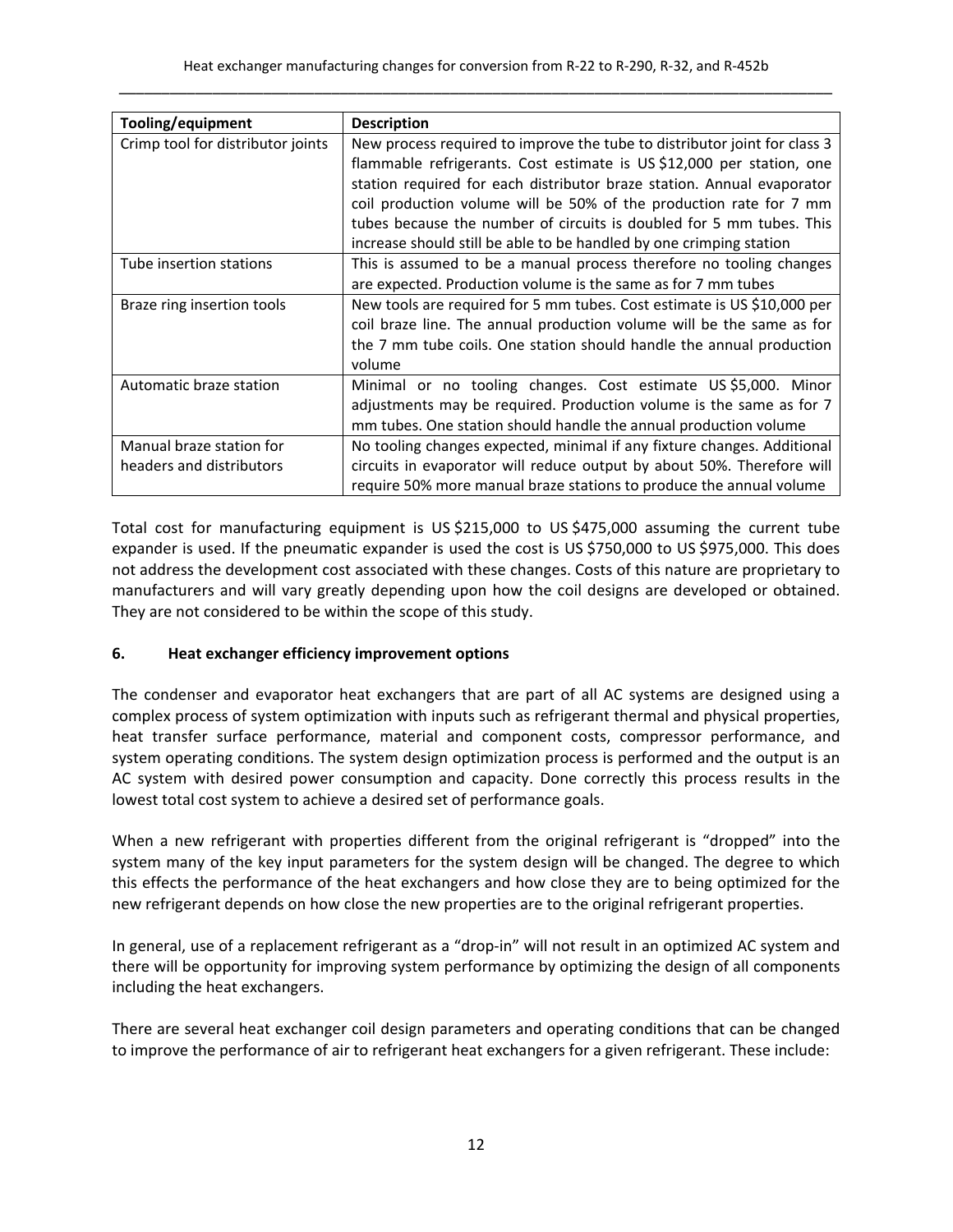| Tooling/equipment                                    | <b>Description</b>                                                                                                                                                                                                                 |  |
|------------------------------------------------------|------------------------------------------------------------------------------------------------------------------------------------------------------------------------------------------------------------------------------------|--|
| Crimp tool for distributor joints                    | New process required to improve the tube to distributor joint for class 3<br>flammable refrigerants. Cost estimate is US \$12,000 per station, one<br>station required for each distributor braze station. Annual evaporator       |  |
|                                                      | coil production volume will be 50% of the production rate for 7 mm<br>tubes because the number of circuits is doubled for 5 mm tubes. This<br>increase should still be able to be handled by one crimping station                  |  |
| Tube insertion stations                              | This is assumed to be a manual process therefore no tooling changes<br>are expected. Production volume is the same as for 7 mm tubes                                                                                               |  |
| Braze ring insertion tools                           | New tools are required for 5 mm tubes. Cost estimate is US \$10,000 per<br>coil braze line. The annual production volume will be the same as for<br>the 7 mm tube coils. One station should handle the annual production<br>volume |  |
| Automatic braze station                              | Minimal or no tooling changes. Cost estimate US \$5,000. Minor<br>adjustments may be required. Production volume is the same as for 7<br>mm tubes. One station should handle the annual production volume                          |  |
| Manual braze station for<br>headers and distributors | No tooling changes expected, minimal if any fixture changes. Additional<br>circuits in evaporator will reduce output by about 50%. Therefore will<br>require 50% more manual braze stations to produce the annual volume           |  |

Total cost for manufacturing equipment is US \$215,000 to US \$475,000 assuming the current tube expander is used. If the pneumatic expander is used the cost is US \$750,000 to US \$975,000. This does not address the development cost associated with these changes. Costs of this nature are proprietary to manufacturers and will vary greatly depending upon how the coil designs are developed or obtained. They are not considered to be within the scope of this study.

## **6. Heat exchanger efficiency improvement options**

The condenser and evaporator heat exchangers that are part of all AC systems are designed using a complex process of system optimization with inputs such as refrigerant thermal and physical properties, heat transfer surface performance, material and component costs, compressor performance, and system operating conditions. The system design optimization process is performed and the output is an AC system with desired power consumption and capacity. Done correctly this process results in the lowest total cost system to achieve a desired set of performance goals.

When a new refrigerant with properties different from the original refrigerant is "dropped" into the system many of the key input parameters for the system design will be changed. The degree to which this effects the performance of the heat exchangers and how close they are to being optimized for the new refrigerant depends on how close the new properties are to the original refrigerant properties.

In general, use of a replacement refrigerant as a "drop-in" will not result in an optimized AC system and there will be opportunity for improving system performance by optimizing the design of all components including the heat exchangers.

There are several heat exchanger coil design parameters and operating conditions that can be changed to improve the performance of air to refrigerant heat exchangers for a given refrigerant. These include: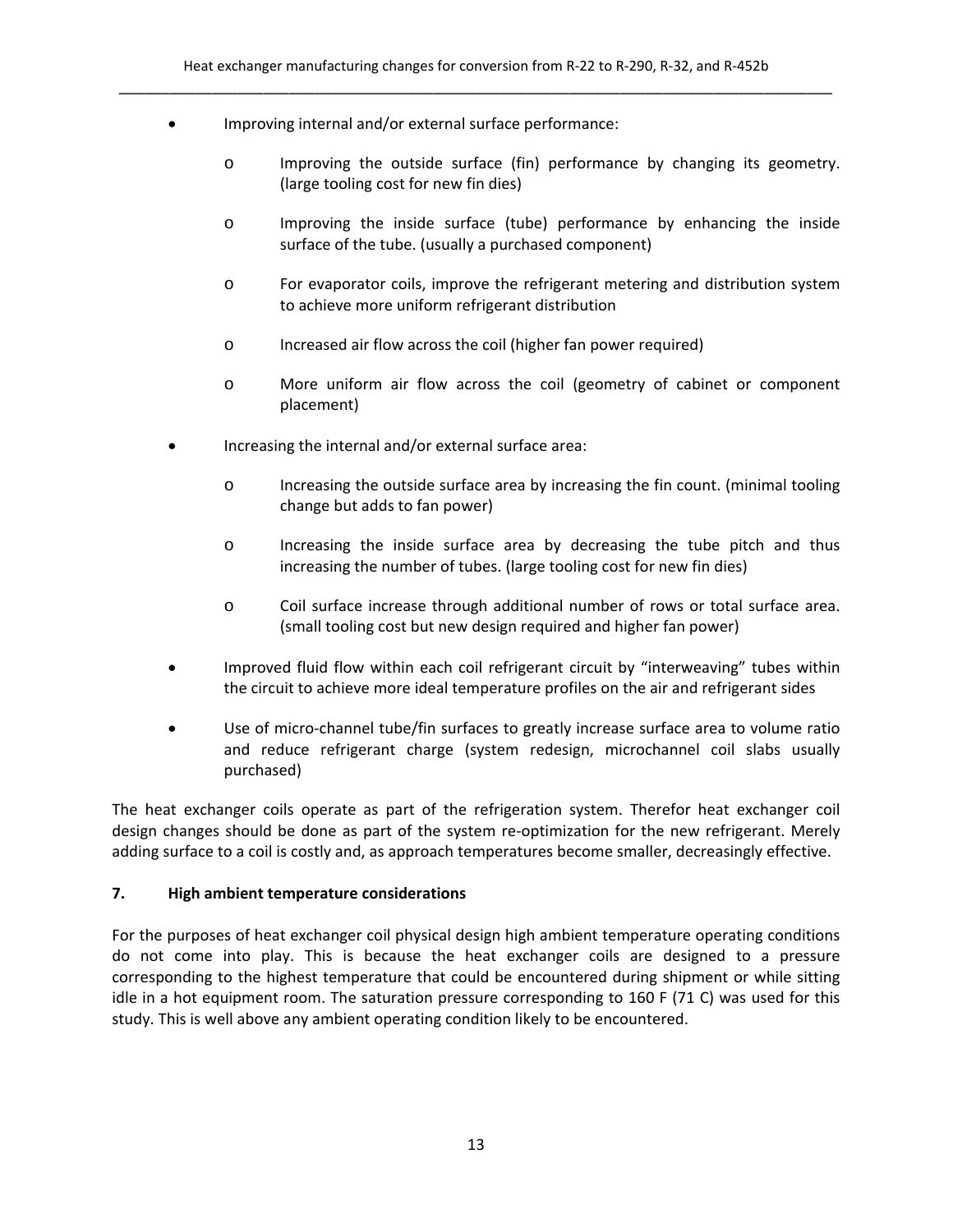- Improving internal and/or external surface performance:
	- o Improving the outside surface (fin) performance by changing its geometry. (large tooling cost for new fin dies)
	- o Improving the inside surface (tube) performance by enhancing the inside surface of the tube. (usually a purchased component)
	- o For evaporator coils, improve the refrigerant metering and distribution system to achieve more uniform refrigerant distribution
	- o Increased air flow across the coil (higher fan power required)
	- o More uniform air flow across the coil (geometry of cabinet or component placement)
- Increasing the internal and/or external surface area:
	- o Increasing the outside surface area by increasing the fin count. (minimal tooling change but adds to fan power)
	- o Increasing the inside surface area by decreasing the tube pitch and thus increasing the number of tubes. (large tooling cost for new fin dies)
	- o Coil surface increase through additional number of rows or total surface area. (small tooling cost but new design required and higher fan power)
- Improved fluid flow within each coil refrigerant circuit by "interweaving" tubes within the circuit to achieve more ideal temperature profiles on the air and refrigerant sides
- Use of micro‐channel tube/fin surfaces to greatly increase surface area to volume ratio and reduce refrigerant charge (system redesign, microchannel coil slabs usually purchased)

The heat exchanger coils operate as part of the refrigeration system. Therefor heat exchanger coil design changes should be done as part of the system re‐optimization for the new refrigerant. Merely adding surface to a coil is costly and, as approach temperatures become smaller, decreasingly effective.

#### **7. High ambient temperature considerations**

For the purposes of heat exchanger coil physical design high ambient temperature operating conditions do not come into play. This is because the heat exchanger coils are designed to a pressure corresponding to the highest temperature that could be encountered during shipment or while sitting idle in a hot equipment room. The saturation pressure corresponding to 160 F (71 C) was used for this study. This is well above any ambient operating condition likely to be encountered.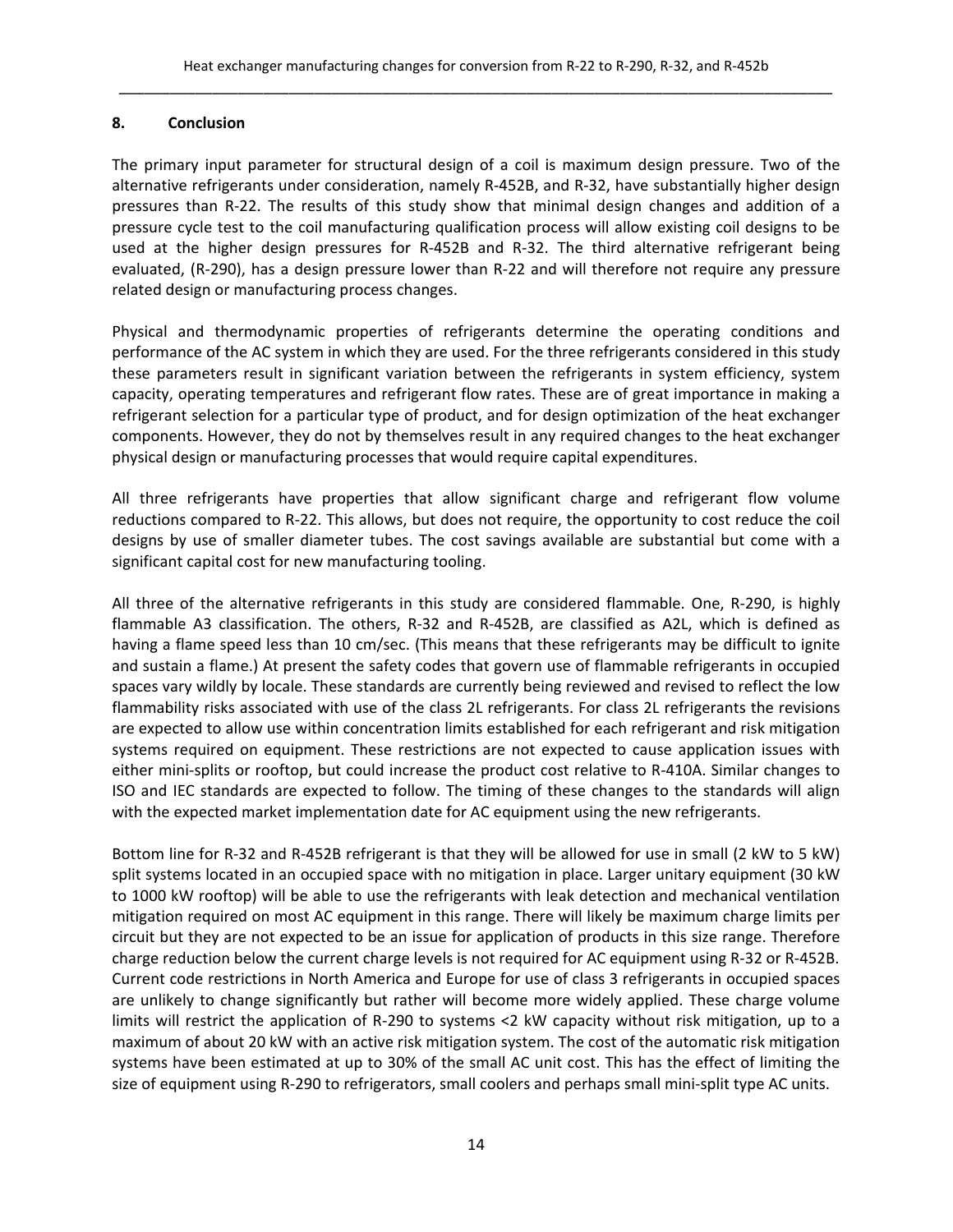## **8. Conclusion**

The primary input parameter for structural design of a coil is maximum design pressure. Two of the alternative refrigerants under consideration, namely R‐452B, and R‐32, have substantially higher design pressures than R‐22. The results of this study show that minimal design changes and addition of a pressure cycle test to the coil manufacturing qualification process will allow existing coil designs to be used at the higher design pressures for R‐452B and R‐32. The third alternative refrigerant being evaluated, (R‐290), has a design pressure lower than R‐22 and will therefore not require any pressure related design or manufacturing process changes.

Physical and thermodynamic properties of refrigerants determine the operating conditions and performance of the AC system in which they are used. For the three refrigerants considered in this study these parameters result in significant variation between the refrigerants in system efficiency, system capacity, operating temperatures and refrigerant flow rates. These are of great importance in making a refrigerant selection for a particular type of product, and for design optimization of the heat exchanger components. However, they do not by themselves result in any required changes to the heat exchanger physical design or manufacturing processes that would require capital expenditures.

All three refrigerants have properties that allow significant charge and refrigerant flow volume reductions compared to R‐22. This allows, but does not require, the opportunity to cost reduce the coil designs by use of smaller diameter tubes. The cost savings available are substantial but come with a significant capital cost for new manufacturing tooling.

All three of the alternative refrigerants in this study are considered flammable. One, R‐290, is highly flammable A3 classification. The others, R‐32 and R‐452B, are classified as A2L, which is defined as having a flame speed less than 10 cm/sec. (This means that these refrigerants may be difficult to ignite and sustain a flame.) At present the safety codes that govern use of flammable refrigerants in occupied spaces vary wildly by locale. These standards are currently being reviewed and revised to reflect the low flammability risks associated with use of the class 2L refrigerants. For class 2L refrigerants the revisions are expected to allow use within concentration limits established for each refrigerant and risk mitigation systems required on equipment. These restrictions are not expected to cause application issues with either mini-splits or rooftop, but could increase the product cost relative to R-410A. Similar changes to ISO and IEC standards are expected to follow. The timing of these changes to the standards will align with the expected market implementation date for AC equipment using the new refrigerants.

Bottom line for R‐32 and R‐452B refrigerant is that they will be allowed for use in small (2 kW to 5 kW) split systems located in an occupied space with no mitigation in place. Larger unitary equipment (30 kW to 1000 kW rooftop) will be able to use the refrigerants with leak detection and mechanical ventilation mitigation required on most AC equipment in this range. There will likely be maximum charge limits per circuit but they are not expected to be an issue for application of products in this size range. Therefore charge reduction below the current charge levels is not required for AC equipment using R‐32 or R‐452B. Current code restrictions in North America and Europe for use of class 3 refrigerants in occupied spaces are unlikely to change significantly but rather will become more widely applied. These charge volume limits will restrict the application of R‐290 to systems <2 kW capacity without risk mitigation, up to a maximum of about 20 kW with an active risk mitigation system. The cost of the automatic risk mitigation systems have been estimated at up to 30% of the small AC unit cost. This has the effect of limiting the size of equipment using R-290 to refrigerators, small coolers and perhaps small mini-split type AC units.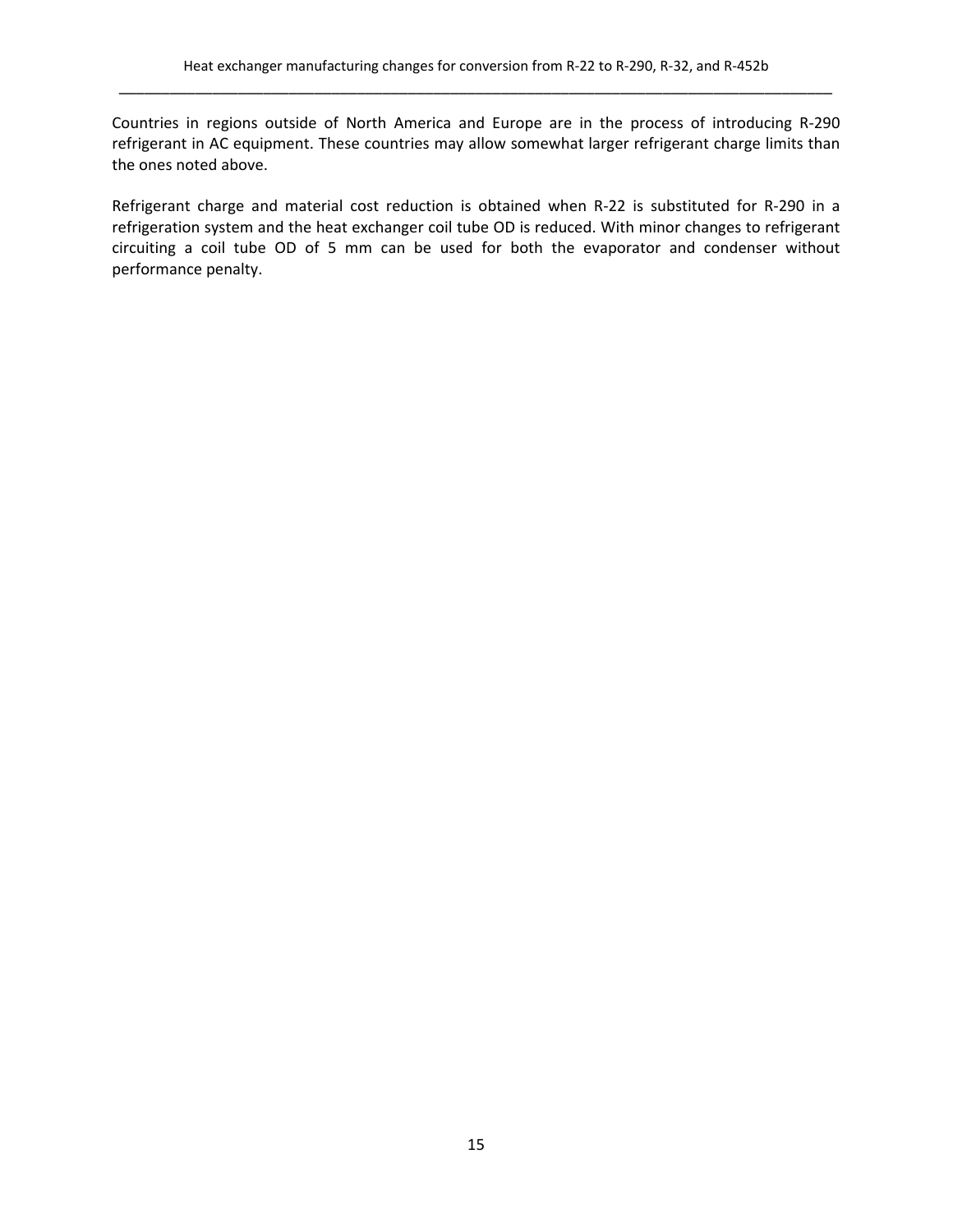Countries in regions outside of North America and Europe are in the process of introducing R‐290 refrigerant in AC equipment. These countries may allow somewhat larger refrigerant charge limits than the ones noted above.

Refrigerant charge and material cost reduction is obtained when R‐22 is substituted for R‐290 in a refrigeration system and the heat exchanger coil tube OD is reduced. With minor changes to refrigerant circuiting a coil tube OD of 5 mm can be used for both the evaporator and condenser without performance penalty.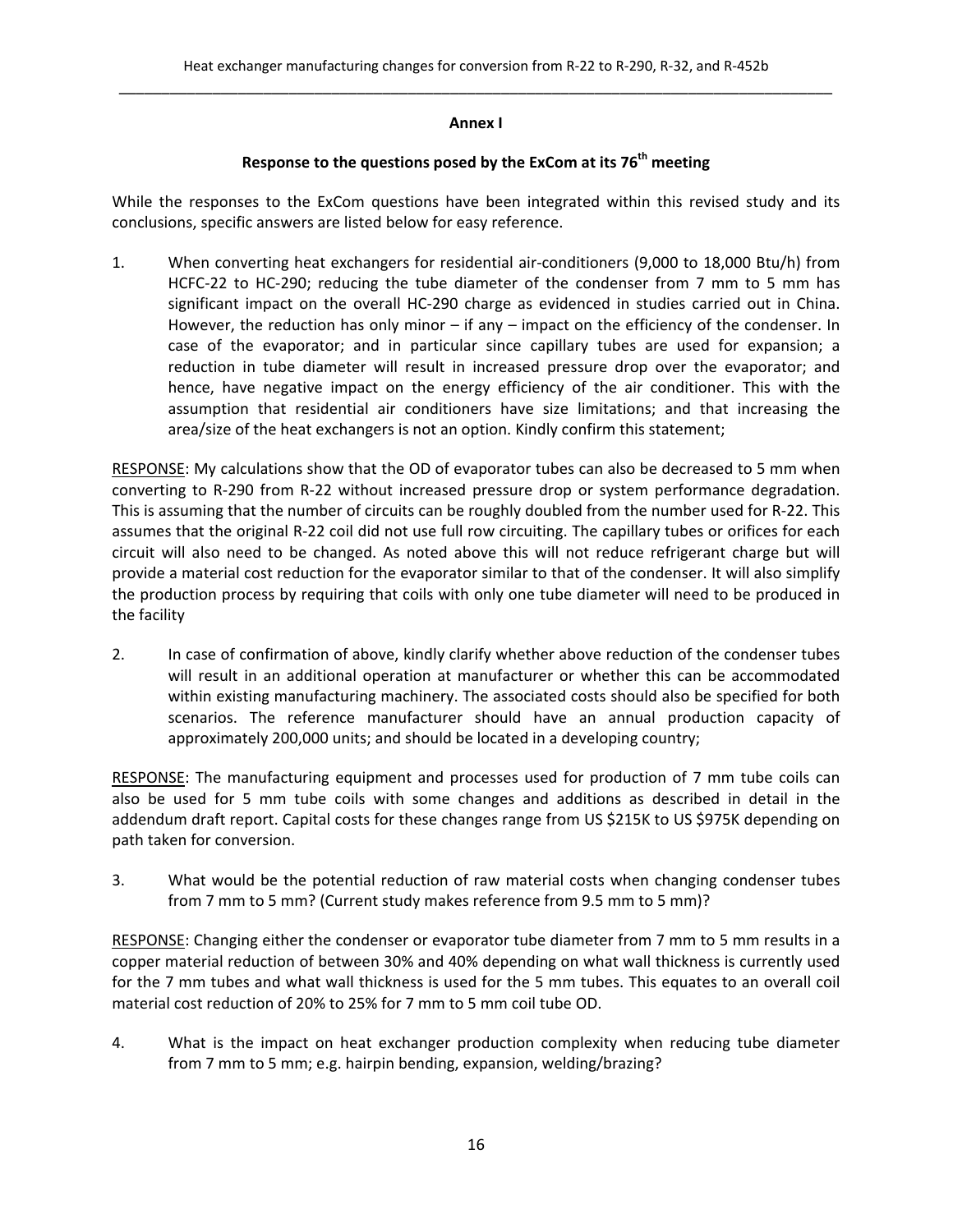#### **Annex I**

## **Response to the questions posed by the ExCom at its 76th meeting**

While the responses to the ExCom questions have been integrated within this revised study and its conclusions, specific answers are listed below for easy reference.

1. When converting heat exchangers for residential air‐conditioners (9,000 to 18,000 Btu/h) from HCFC-22 to HC-290; reducing the tube diameter of the condenser from 7 mm to 5 mm has significant impact on the overall HC-290 charge as evidenced in studies carried out in China. However, the reduction has only minor – if any – impact on the efficiency of the condenser. In case of the evaporator; and in particular since capillary tubes are used for expansion; a reduction in tube diameter will result in increased pressure drop over the evaporator; and hence, have negative impact on the energy efficiency of the air conditioner. This with the assumption that residential air conditioners have size limitations; and that increasing the area/size of the heat exchangers is not an option. Kindly confirm this statement;

RESPONSE: My calculations show that the OD of evaporator tubes can also be decreased to 5 mm when converting to R‐290 from R‐22 without increased pressure drop or system performance degradation. This is assuming that the number of circuits can be roughly doubled from the number used for R‐22. This assumes that the original R‐22 coil did not use full row circuiting. The capillary tubes or orifices for each circuit will also need to be changed. As noted above this will not reduce refrigerant charge but will provide a material cost reduction for the evaporator similar to that of the condenser. It will also simplify the production process by requiring that coils with only one tube diameter will need to be produced in the facility

2. In case of confirmation of above, kindly clarify whether above reduction of the condenser tubes will result in an additional operation at manufacturer or whether this can be accommodated within existing manufacturing machinery. The associated costs should also be specified for both scenarios. The reference manufacturer should have an annual production capacity of approximately 200,000 units; and should be located in a developing country;

RESPONSE: The manufacturing equipment and processes used for production of 7 mm tube coils can also be used for 5 mm tube coils with some changes and additions as described in detail in the addendum draft report. Capital costs for these changes range from US \$215K to US \$975K depending on path taken for conversion.

3. What would be the potential reduction of raw material costs when changing condenser tubes from 7 mm to 5 mm? (Current study makes reference from 9.5 mm to 5 mm)?

RESPONSE: Changing either the condenser or evaporator tube diameter from 7 mm to 5 mm results in a copper material reduction of between 30% and 40% depending on what wall thickness is currently used for the 7 mm tubes and what wall thickness is used for the 5 mm tubes. This equates to an overall coil material cost reduction of 20% to 25% for 7 mm to 5 mm coil tube OD.

4. What is the impact on heat exchanger production complexity when reducing tube diameter from 7 mm to 5 mm; e.g. hairpin bending, expansion, welding/brazing?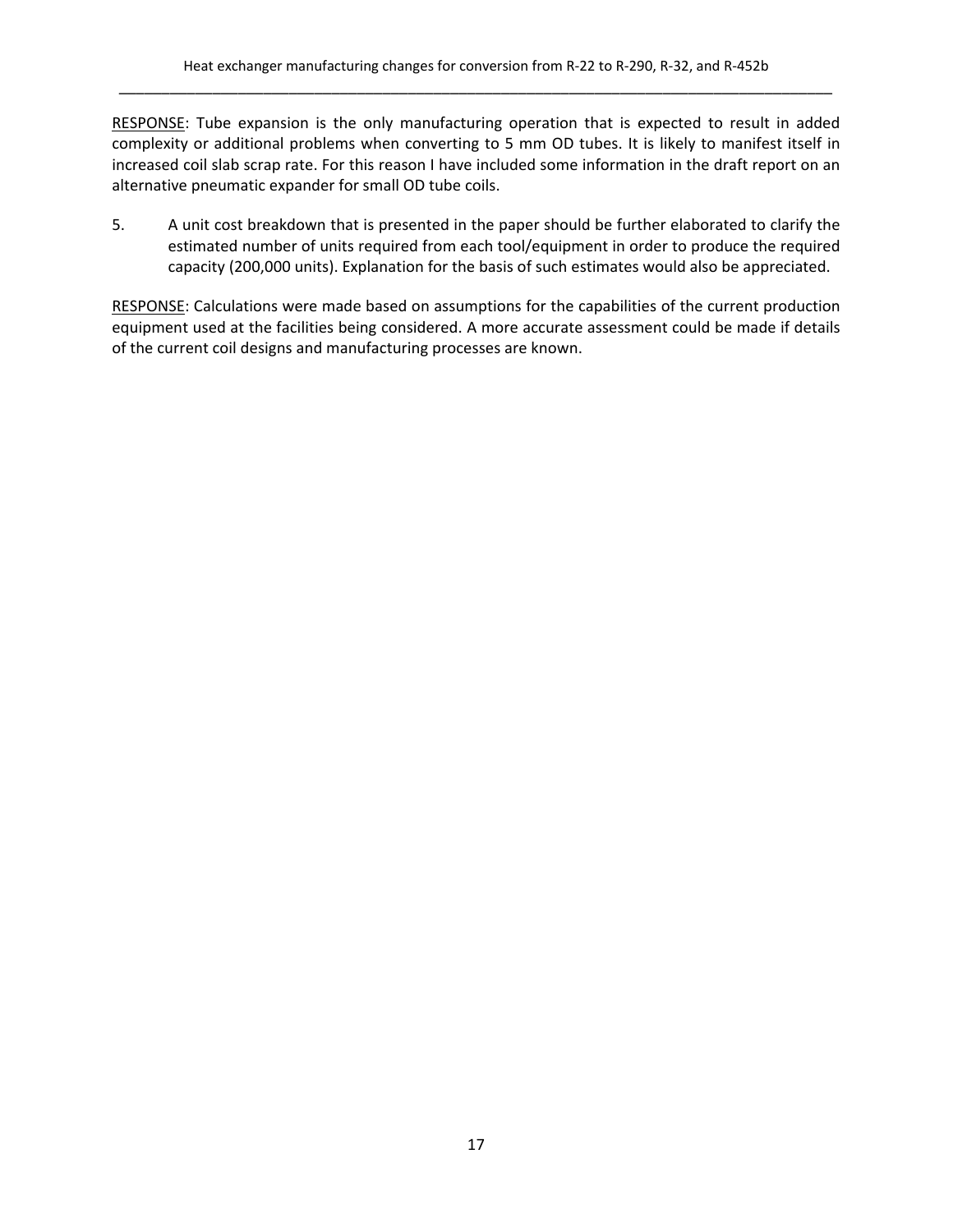RESPONSE: Tube expansion is the only manufacturing operation that is expected to result in added complexity or additional problems when converting to 5 mm OD tubes. It is likely to manifest itself in increased coil slab scrap rate. For this reason I have included some information in the draft report on an alternative pneumatic expander for small OD tube coils.

5. A unit cost breakdown that is presented in the paper should be further elaborated to clarify the estimated number of units required from each tool/equipment in order to produce the required capacity (200,000 units). Explanation for the basis of such estimates would also be appreciated.

RESPONSE: Calculations were made based on assumptions for the capabilities of the current production equipment used at the facilities being considered. A more accurate assessment could be made if details of the current coil designs and manufacturing processes are known.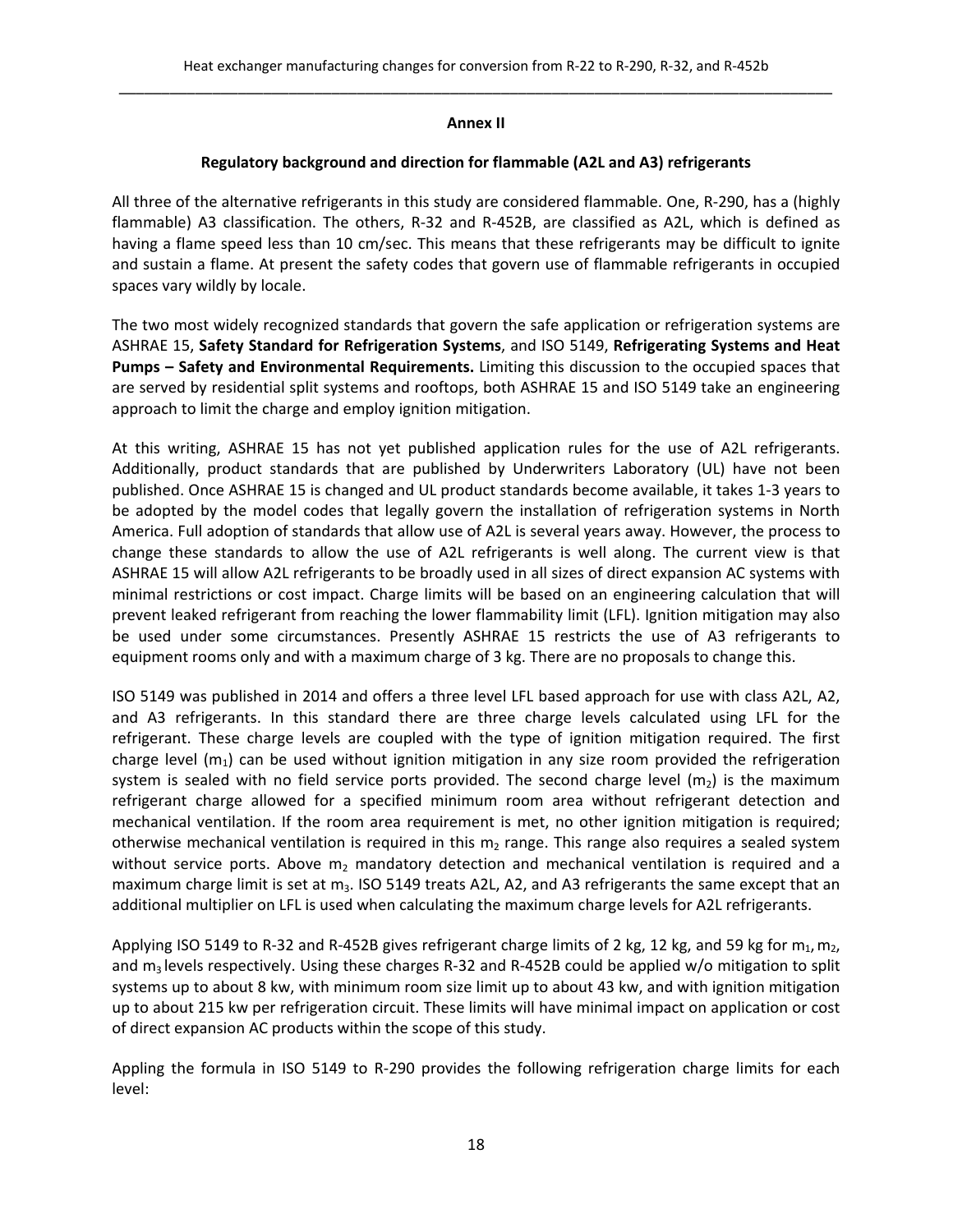#### **Annex II**

#### **Regulatory background and direction for flammable (A2L and A3) refrigerants**

All three of the alternative refrigerants in this study are considered flammable. One, R‐290, has a (highly flammable) A3 classification. The others, R‐32 and R‐452B, are classified as A2L, which is defined as having a flame speed less than 10 cm/sec. This means that these refrigerants may be difficult to ignite and sustain a flame. At present the safety codes that govern use of flammable refrigerants in occupied spaces vary wildly by locale.

The two most widely recognized standards that govern the safe application or refrigeration systems are ASHRAE 15, **Safety Standard for Refrigeration Systems**, and ISO 5149, **Refrigerating Systems and Heat Pumps – Safety and Environmental Requirements.** Limiting this discussion to the occupied spaces that are served by residential split systems and rooftops, both ASHRAE 15 and ISO 5149 take an engineering approach to limit the charge and employ ignition mitigation.

At this writing, ASHRAE 15 has not yet published application rules for the use of A2L refrigerants. Additionally, product standards that are published by Underwriters Laboratory (UL) have not been published. Once ASHRAE 15 is changed and UL product standards become available, it takes 1‐3 years to be adopted by the model codes that legally govern the installation of refrigeration systems in North America. Full adoption of standards that allow use of A2L is several years away. However, the process to change these standards to allow the use of A2L refrigerants is well along. The current view is that ASHRAE 15 will allow A2L refrigerants to be broadly used in all sizes of direct expansion AC systems with minimal restrictions or cost impact. Charge limits will be based on an engineering calculation that will prevent leaked refrigerant from reaching the lower flammability limit (LFL). Ignition mitigation may also be used under some circumstances. Presently ASHRAE 15 restricts the use of A3 refrigerants to equipment rooms only and with a maximum charge of 3 kg. There are no proposals to change this.

ISO 5149 was published in 2014 and offers a three level LFL based approach for use with class A2L, A2, and A3 refrigerants. In this standard there are three charge levels calculated using LFL for the refrigerant. These charge levels are coupled with the type of ignition mitigation required. The first charge level  $(m_1)$  can be used without ignition mitigation in any size room provided the refrigeration system is sealed with no field service ports provided. The second charge level  $(m_2)$  is the maximum refrigerant charge allowed for a specified minimum room area without refrigerant detection and mechanical ventilation. If the room area requirement is met, no other ignition mitigation is required; otherwise mechanical ventilation is required in this  $m_2$  range. This range also requires a sealed system without service ports. Above  $m_2$  mandatory detection and mechanical ventilation is required and a maximum charge limit is set at m<sub>3</sub>. ISO 5149 treats A2L, A2, and A3 refrigerants the same except that an additional multiplier on LFL is used when calculating the maximum charge levels for A2L refrigerants.

Applying ISO 5149 to R-32 and R-452B gives refrigerant charge limits of 2 kg, 12 kg, and 59 kg for  $m_1, m_2$ , and  $m_3$  levels respectively. Using these charges R-32 and R-452B could be applied w/o mitigation to split systems up to about 8 kw, with minimum room size limit up to about 43 kw, and with ignition mitigation up to about 215 kw per refrigeration circuit. These limits will have minimal impact on application or cost of direct expansion AC products within the scope of this study.

Appling the formula in ISO 5149 to R‐290 provides the following refrigeration charge limits for each level: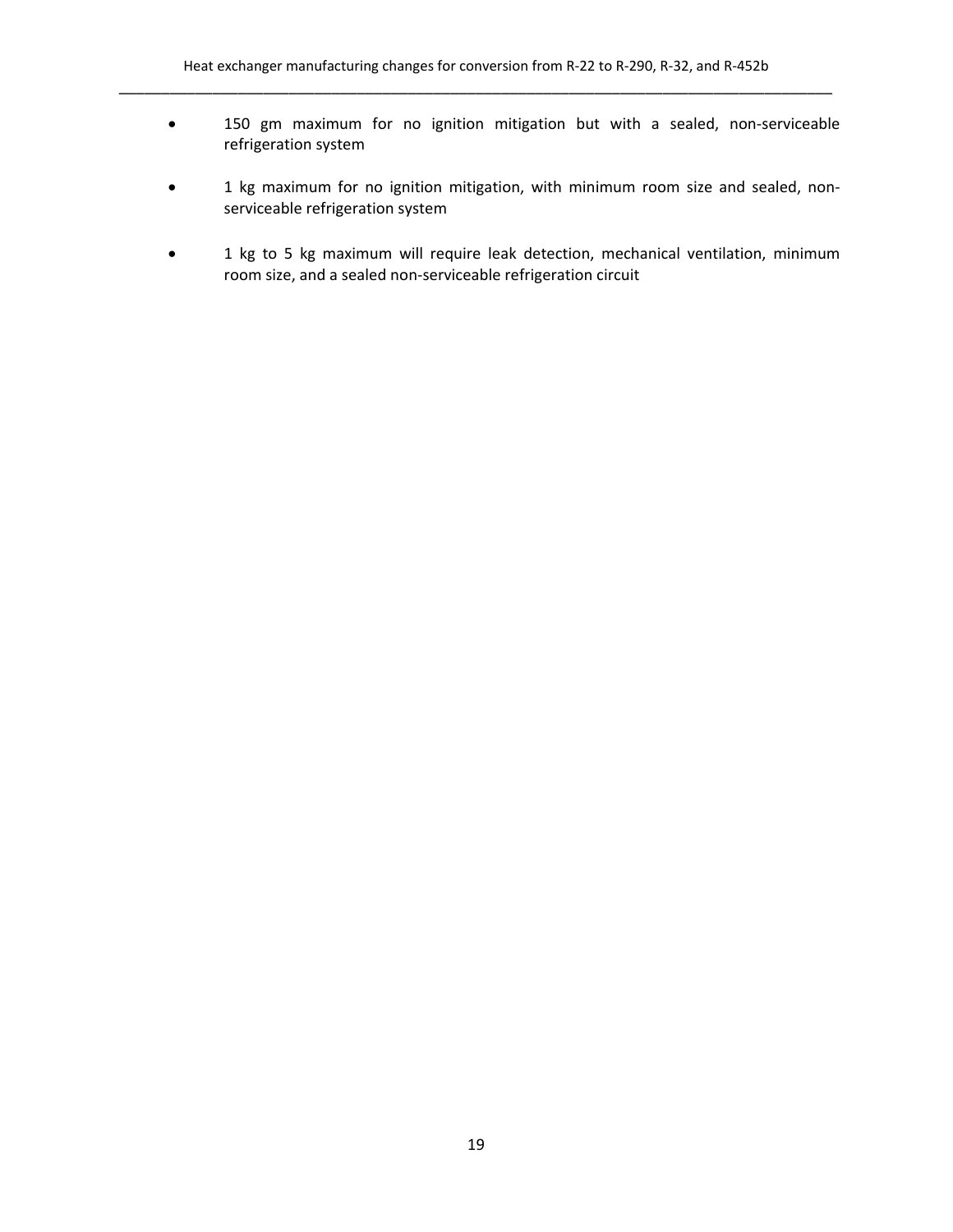- 150 gm maximum for no ignition mitigation but with a sealed, non‐serviceable refrigeration system
- 1 kg maximum for no ignition mitigation, with minimum room size and sealed, nonserviceable refrigeration system
- 1 kg to 5 kg maximum will require leak detection, mechanical ventilation, minimum room size, and a sealed non‐serviceable refrigeration circuit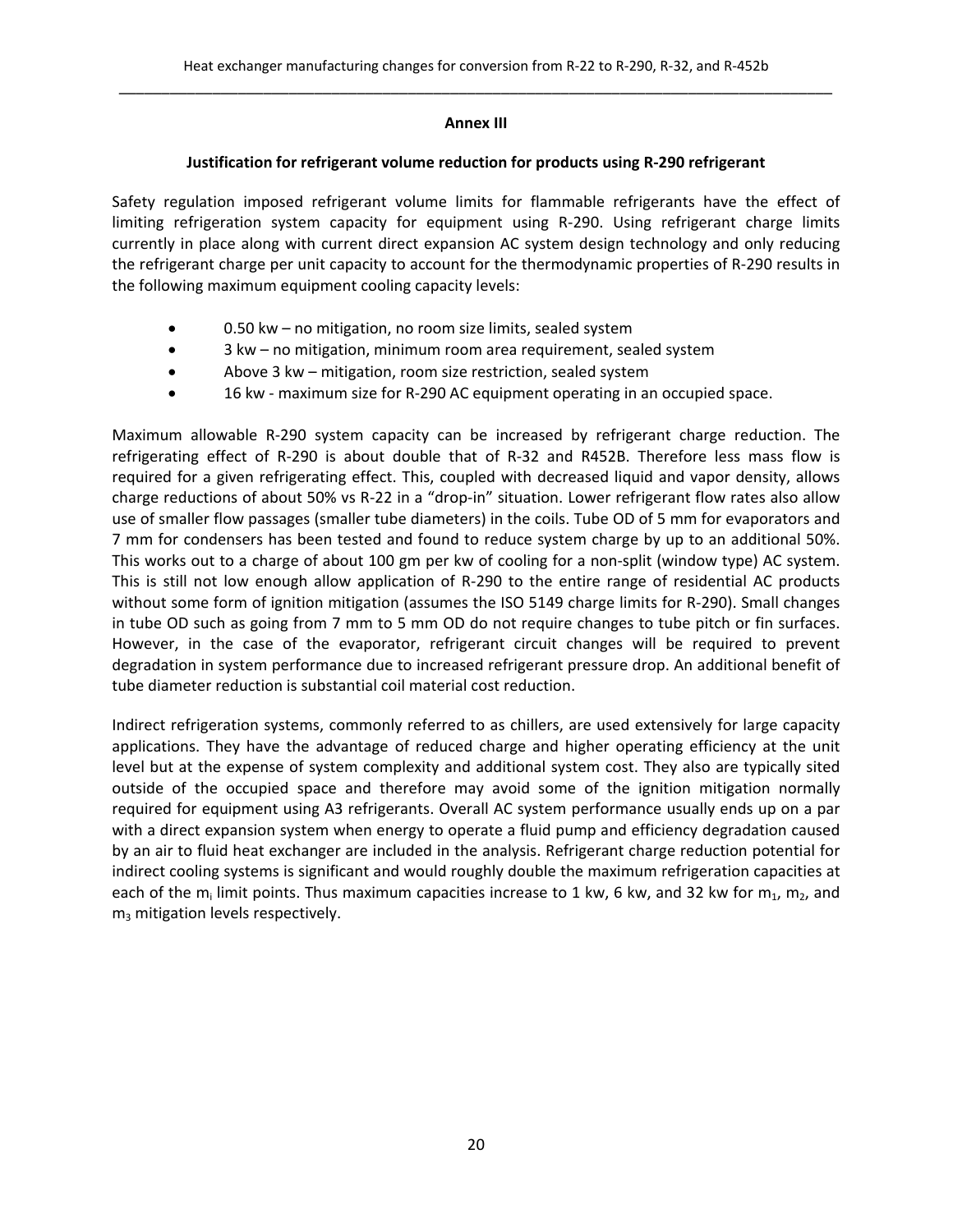#### **Annex III**

## **Justification for refrigerant volume reduction for products using R‐290 refrigerant**

Safety regulation imposed refrigerant volume limits for flammable refrigerants have the effect of limiting refrigeration system capacity for equipment using R-290. Using refrigerant charge limits currently in place along with current direct expansion AC system design technology and only reducing the refrigerant charge per unit capacity to account for the thermodynamic properties of R‐290 results in the following maximum equipment cooling capacity levels:

- 0.50 kw no mitigation, no room size limits, sealed system
- 3 kw no mitigation, minimum room area requirement, sealed system
- Above 3 kw mitigation, room size restriction, sealed system
- 16 kw ‐ maximum size for R‐290 AC equipment operating in an occupied space.

Maximum allowable R‐290 system capacity can be increased by refrigerant charge reduction. The refrigerating effect of R‐290 is about double that of R‐32 and R452B. Therefore less mass flow is required for a given refrigerating effect. This, coupled with decreased liquid and vapor density, allows charge reductions of about 50% vs R-22 in a "drop-in" situation. Lower refrigerant flow rates also allow use of smaller flow passages (smaller tube diameters) in the coils. Tube OD of 5 mm for evaporators and 7 mm for condensers has been tested and found to reduce system charge by up to an additional 50%. This works out to a charge of about 100 gm per kw of cooling for a non-split (window type) AC system. This is still not low enough allow application of R‐290 to the entire range of residential AC products without some form of ignition mitigation (assumes the ISO 5149 charge limits for R-290). Small changes in tube OD such as going from 7 mm to 5 mm OD do not require changes to tube pitch or fin surfaces. However, in the case of the evaporator, refrigerant circuit changes will be required to prevent degradation in system performance due to increased refrigerant pressure drop. An additional benefit of tube diameter reduction is substantial coil material cost reduction.

Indirect refrigeration systems, commonly referred to as chillers, are used extensively for large capacity applications. They have the advantage of reduced charge and higher operating efficiency at the unit level but at the expense of system complexity and additional system cost. They also are typically sited outside of the occupied space and therefore may avoid some of the ignition mitigation normally required for equipment using A3 refrigerants. Overall AC system performance usually ends up on a par with a direct expansion system when energy to operate a fluid pump and efficiency degradation caused by an air to fluid heat exchanger are included in the analysis. Refrigerant charge reduction potential for indirect cooling systems is significant and would roughly double the maximum refrigeration capacities at each of the m<sub>i</sub> limit points. Thus maximum capacities increase to 1 kw, 6 kw, and 32 kw for m<sub>1</sub>, m<sub>2</sub>, and m<sub>3</sub> mitigation levels respectively.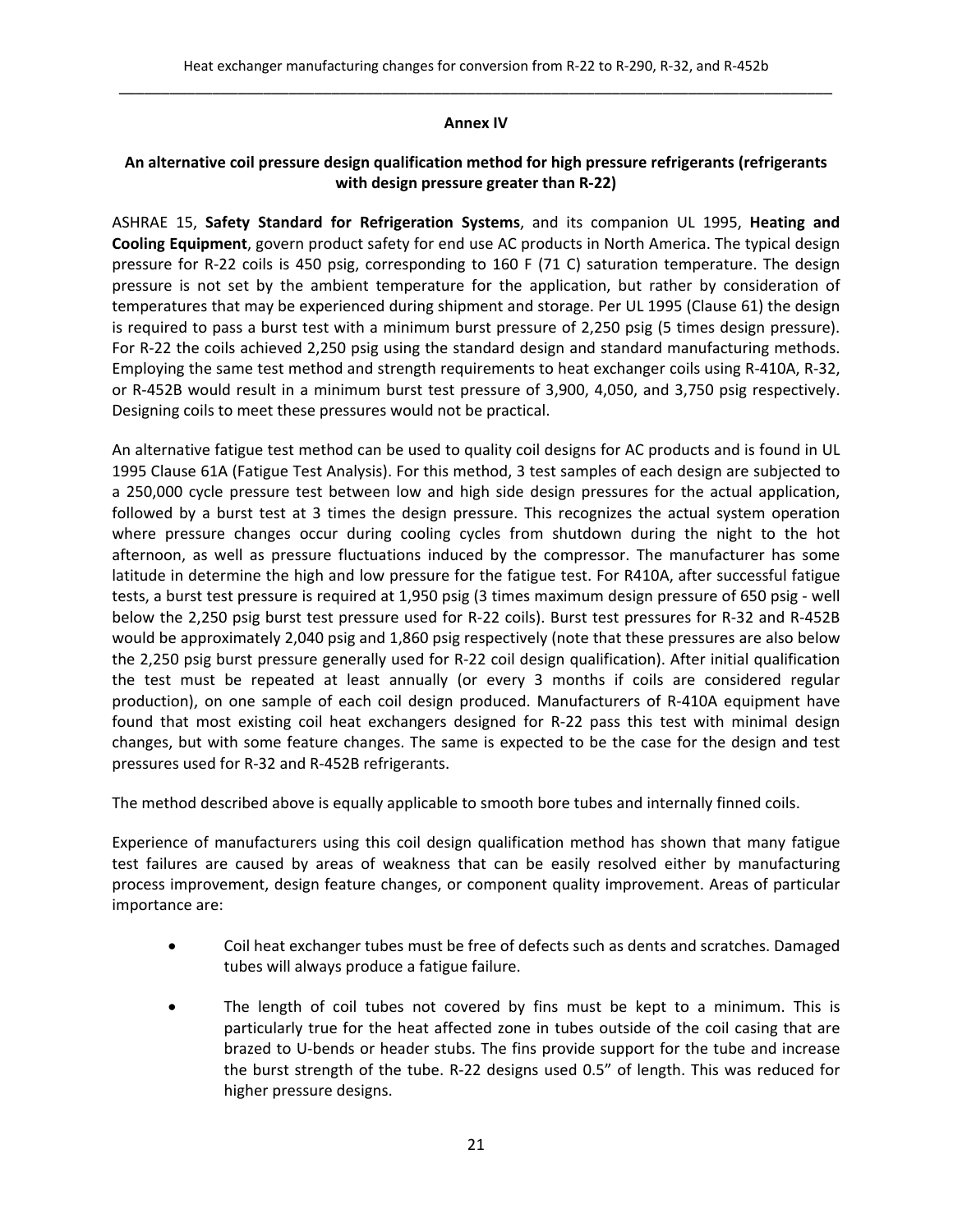#### **Annex IV**

## **An alternative coil pressure design qualification method for high pressure refrigerants (refrigerants with design pressure greater than R‐22)**

ASHRAE 15, **Safety Standard for Refrigeration Systems**, and its companion UL 1995, **Heating and Cooling Equipment**, govern product safety for end use AC products in North America. The typical design pressure for R‐22 coils is 450 psig, corresponding to 160 F (71 C) saturation temperature. The design pressure is not set by the ambient temperature for the application, but rather by consideration of temperatures that may be experienced during shipment and storage. Per UL 1995 (Clause 61) the design is required to pass a burst test with a minimum burst pressure of 2,250 psig (5 times design pressure). For R‐22 the coils achieved 2,250 psig using the standard design and standard manufacturing methods. Employing the same test method and strength requirements to heat exchanger coils using R‐410A, R‐32, or R‐452B would result in a minimum burst test pressure of 3,900, 4,050, and 3,750 psig respectively. Designing coils to meet these pressures would not be practical.

An alternative fatigue test method can be used to quality coil designs for AC products and is found in UL 1995 Clause 61A (Fatigue Test Analysis). For this method, 3 test samples of each design are subjected to a 250,000 cycle pressure test between low and high side design pressures for the actual application, followed by a burst test at 3 times the design pressure. This recognizes the actual system operation where pressure changes occur during cooling cycles from shutdown during the night to the hot afternoon, as well as pressure fluctuations induced by the compressor. The manufacturer has some latitude in determine the high and low pressure for the fatigue test. For R410A, after successful fatigue tests, a burst test pressure is required at 1,950 psig (3 times maximum design pressure of 650 psig ‐ well below the 2,250 psig burst test pressure used for R‐22 coils). Burst test pressures for R‐32 and R‐452B would be approximately 2,040 psig and 1,860 psig respectively (note that these pressures are also below the 2,250 psig burst pressure generally used for R‐22 coil design qualification). After initial qualification the test must be repeated at least annually (or every 3 months if coils are considered regular production), on one sample of each coil design produced. Manufacturers of R‐410A equipment have found that most existing coil heat exchangers designed for R‐22 pass this test with minimal design changes, but with some feature changes. The same is expected to be the case for the design and test pressures used for R‐32 and R‐452B refrigerants.

The method described above is equally applicable to smooth bore tubes and internally finned coils.

Experience of manufacturers using this coil design qualification method has shown that many fatigue test failures are caused by areas of weakness that can be easily resolved either by manufacturing process improvement, design feature changes, or component quality improvement. Areas of particular importance are:

- Coil heat exchanger tubes must be free of defects such as dents and scratches. Damaged tubes will always produce a fatigue failure.
- The length of coil tubes not covered by fins must be kept to a minimum. This is particularly true for the heat affected zone in tubes outside of the coil casing that are brazed to U‐bends or header stubs. The fins provide support for the tube and increase the burst strength of the tube. R‐22 designs used 0.5" of length. This was reduced for higher pressure designs.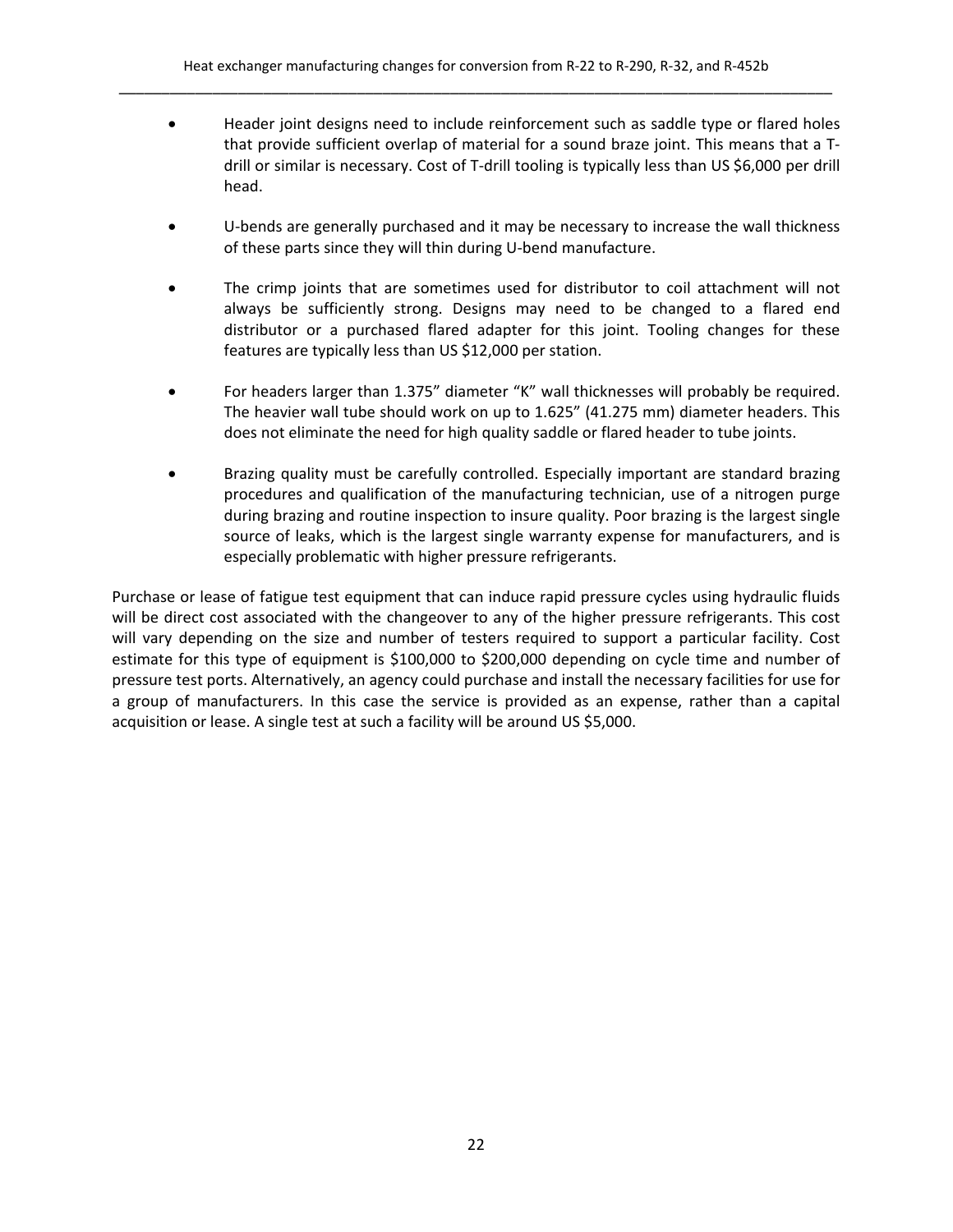- Header joint designs need to include reinforcement such as saddle type or flared holes that provide sufficient overlap of material for a sound braze joint. This means that a T‐ drill or similar is necessary. Cost of T-drill tooling is typically less than US \$6,000 per drill head.
- U-bends are generally purchased and it may be necessary to increase the wall thickness of these parts since they will thin during U‐bend manufacture.
- The crimp joints that are sometimes used for distributor to coil attachment will not always be sufficiently strong. Designs may need to be changed to a flared end distributor or a purchased flared adapter for this joint. Tooling changes for these features are typically less than US \$12,000 per station.
- For headers larger than 1.375" diameter "K" wall thicknesses will probably be required. The heavier wall tube should work on up to 1.625" (41.275 mm) diameter headers. This does not eliminate the need for high quality saddle or flared header to tube joints.
- Brazing quality must be carefully controlled. Especially important are standard brazing procedures and qualification of the manufacturing technician, use of a nitrogen purge during brazing and routine inspection to insure quality. Poor brazing is the largest single source of leaks, which is the largest single warranty expense for manufacturers, and is especially problematic with higher pressure refrigerants.

Purchase or lease of fatigue test equipment that can induce rapid pressure cycles using hydraulic fluids will be direct cost associated with the changeover to any of the higher pressure refrigerants. This cost will vary depending on the size and number of testers required to support a particular facility. Cost estimate for this type of equipment is \$100,000 to \$200,000 depending on cycle time and number of pressure test ports. Alternatively, an agency could purchase and install the necessary facilities for use for a group of manufacturers. In this case the service is provided as an expense, rather than a capital acquisition or lease. A single test at such a facility will be around US \$5,000.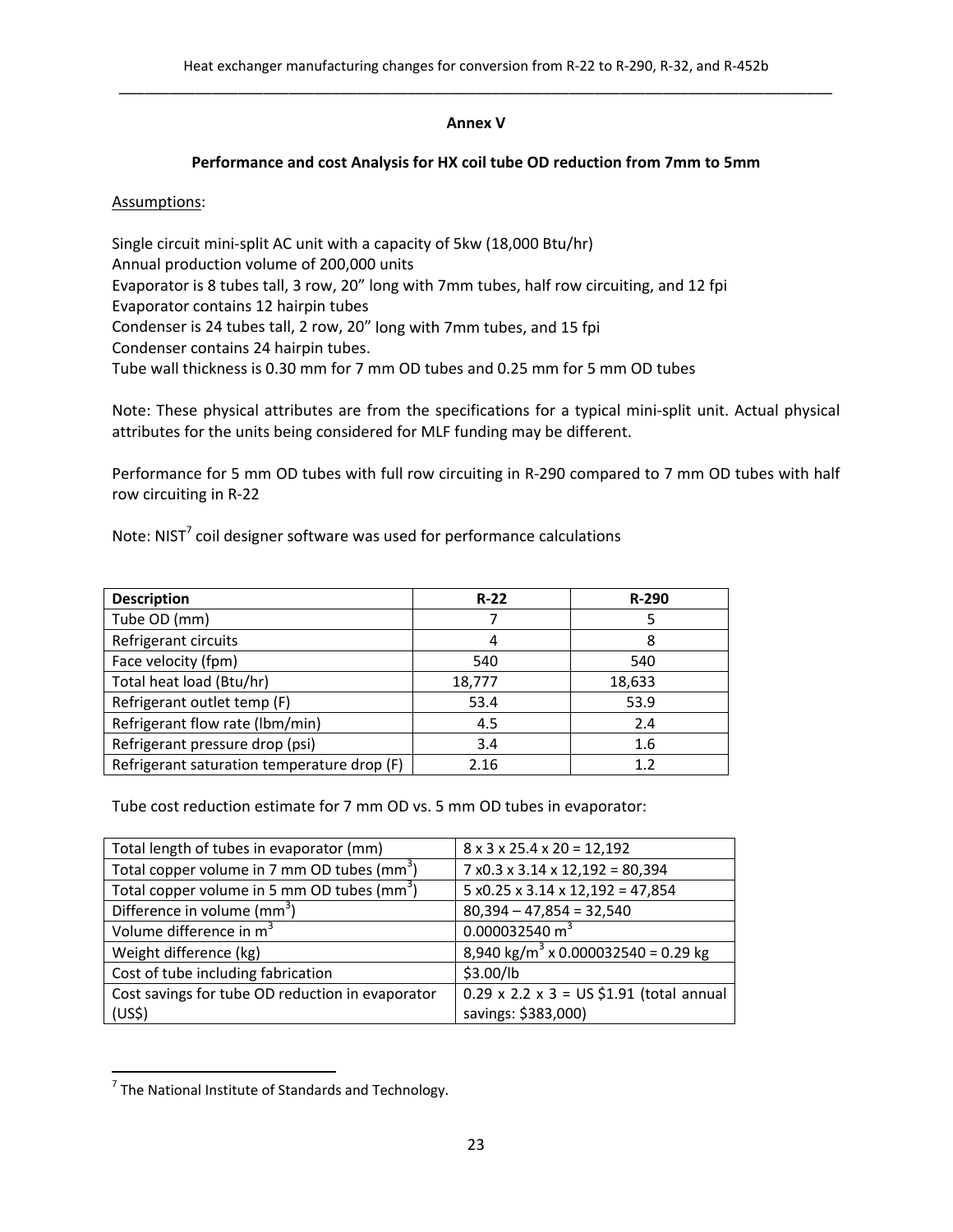## **Annex V**

## **Performance and cost Analysis for HX coil tube OD reduction from 7mm to 5mm**

Assumptions:

Single circuit mini‐split AC unit with a capacity of 5kw (18,000 Btu/hr) Annual production volume of 200,000 units Evaporator is 8 tubes tall, 3 row, 20" long with 7mm tubes, half row circuiting, and 12 fpi Evaporator contains 12 hairpin tubes Condenser is 24 tubes tall, 2 row, 20" long with 7mm tubes, and 15 fpi Condenser contains 24 hairpin tubes. Tube wall thickness is 0.30 mm for 7 mm OD tubes and 0.25 mm for 5 mm OD tubes

Note: These physical attributes are from the specifications for a typical mini‐split unit. Actual physical attributes for the units being considered for MLF funding may be different.

Performance for 5 mm OD tubes with full row circuiting in R‐290 compared to 7 mm OD tubes with half row circuiting in R‐22

Note: NIST<sup>7</sup> coil designer software was used for performance calculations

| <b>Description</b>                          | $R-22$ | $R-290$ |
|---------------------------------------------|--------|---------|
| Tube OD (mm)                                |        |         |
| Refrigerant circuits                        | 4      |         |
| Face velocity (fpm)                         | 540    | 540     |
| Total heat load (Btu/hr)                    | 18,777 | 18,633  |
| Refrigerant outlet temp (F)                 | 53.4   | 53.9    |
| Refrigerant flow rate (Ibm/min)             | 4.5    | 2.4     |
| Refrigerant pressure drop (psi)             | 3.4    | 1.6     |
| Refrigerant saturation temperature drop (F) | 2.16   | 1.2     |

Tube cost reduction estimate for 7 mm OD vs. 5 mm OD tubes in evaporator:

| Total length of tubes in evaporator (mm)                | $8 \times 3 \times 25.4 \times 20 = 12,192$                |
|---------------------------------------------------------|------------------------------------------------------------|
| Total copper volume in 7 mm OD tubes (mm <sup>3</sup> ) | $7 \times 0.3 \times 3.14 \times 12,192 = 80,394$          |
| Total copper volume in 5 mm OD tubes ( $mm3$ )          | $5 x0.25 x 3.14 x 12,192 = 47,854$                         |
| Difference in volume (mm <sup>3</sup> )                 | $80,394 - 47,854 = 32,540$                                 |
| Volume difference in m <sup>3</sup>                     | 0.000032540 m <sup>3</sup>                                 |
| Weight difference (kg)                                  | $\sqrt{8,940 \text{ kg/m}^3 \times 0.000032540}$ = 0.29 kg |
| Cost of tube including fabrication                      | \$3.00/lb                                                  |
| Cost savings for tube OD reduction in evaporator        | $0.29 \times 2.2 \times 3 = US $1.91$ (total annual        |
| (US <sup>2</sup> )                                      | savings: \$383,000)                                        |

  $^7$  The National Institute of Standards and Technology.